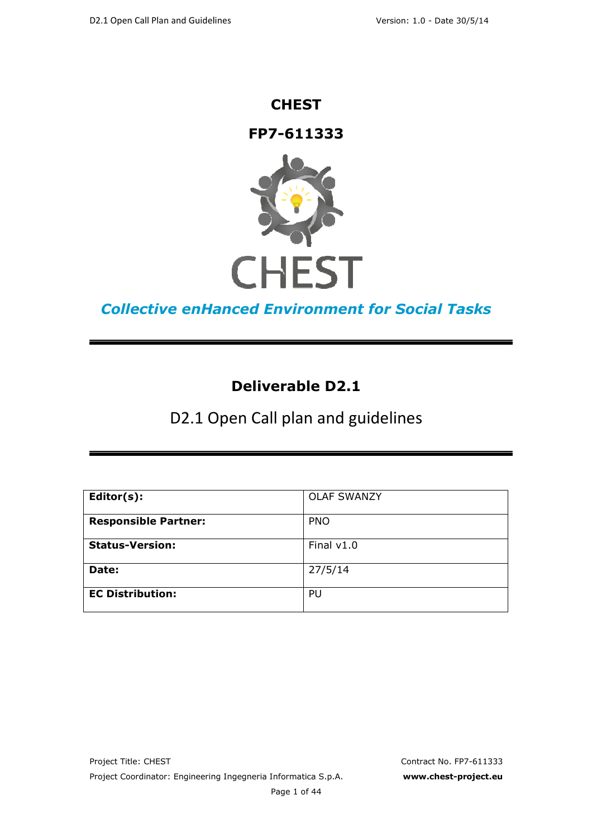## **CHEST**

## **FP7-611333**



# **Collective enHanced Environment for Social Tasks**

# **Deliverable D2.1**

D2.1 Open Call plan and guidelines

| Editor(s):                  | <b>OLAF SWANZY</b> |
|-----------------------------|--------------------|
| <b>Responsible Partner:</b> | <b>PNO</b>         |
| <b>Status-Version:</b>      | Final $v1.0$       |
| Date:                       | 27/5/14            |
| <b>EC Distribution:</b>     | PU                 |

Page 1 of 44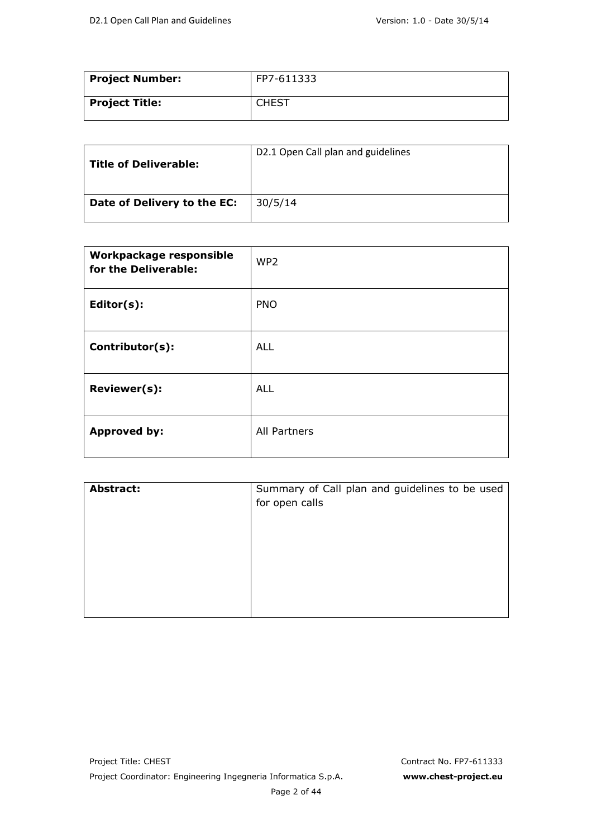| Project Number: | FP7-611333   |
|-----------------|--------------|
| Project Title:  | <b>CHEST</b> |

| <b>Title of Deliverable:</b> | D2.1 Open Call plan and guidelines |
|------------------------------|------------------------------------|
| Date of Delivery to the EC:  | 30/5/14                            |

| Workpackage responsible<br>for the Deliverable: | WP <sub>2</sub>     |
|-------------------------------------------------|---------------------|
| Editor(s):                                      | <b>PNO</b>          |
| Contributor(s):                                 | <b>ALL</b>          |
| Reviewer(s):                                    | <b>ALL</b>          |
| <b>Approved by:</b>                             | <b>All Partners</b> |

| <b>Abstract:</b> | Summary of Call plan and guidelines to be used<br>for open calls |
|------------------|------------------------------------------------------------------|
|                  |                                                                  |
|                  |                                                                  |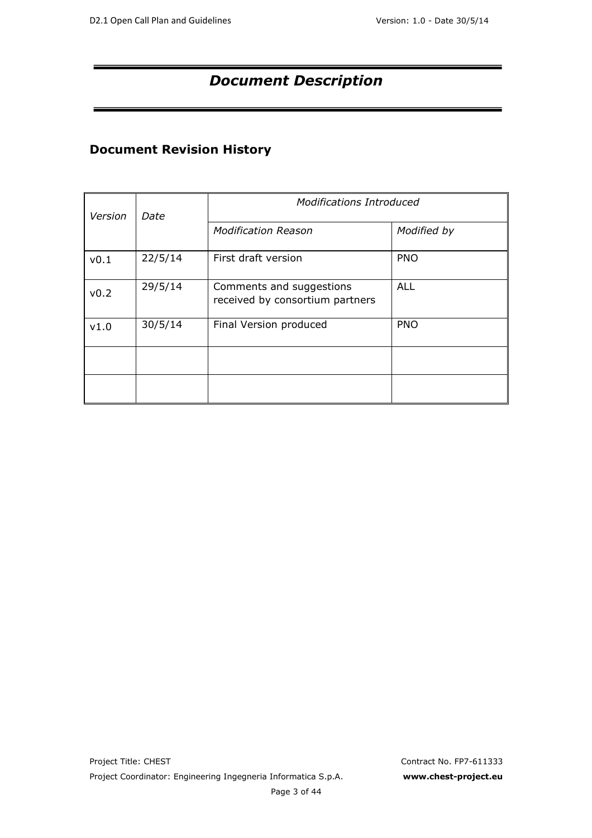# *Document Description*

# **Document Revision History**

| Version<br>Date |         | <b>Modifications Introduced</b>                             |             |
|-----------------|---------|-------------------------------------------------------------|-------------|
|                 |         | <b>Modification Reason</b>                                  | Modified by |
| v0.1            | 22/5/14 | First draft version                                         | <b>PNO</b>  |
| v0.2            | 29/5/14 | Comments and suggestions<br>received by consortium partners | <b>ALL</b>  |
| v1.0            | 30/5/14 | Final Version produced                                      | <b>PNO</b>  |
|                 |         |                                                             |             |
|                 |         |                                                             |             |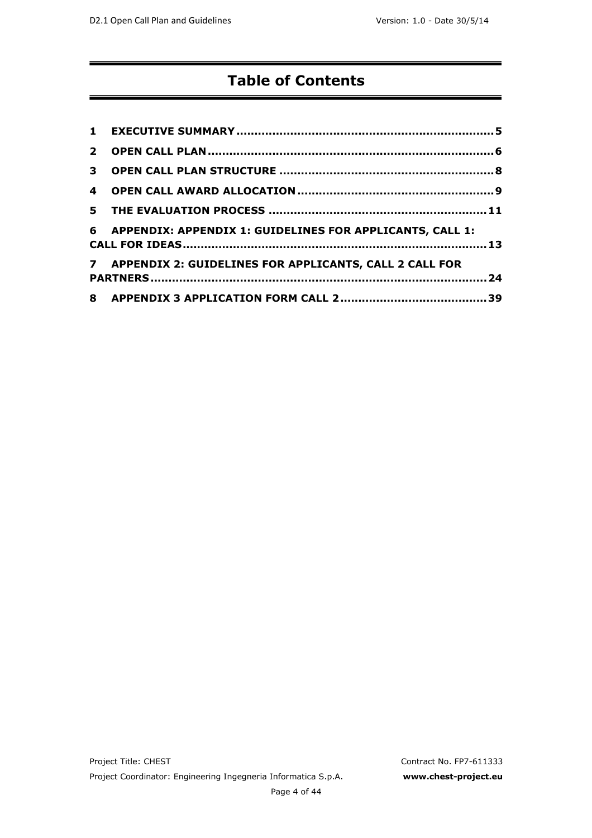# **Table of Contents**

| $\overline{2}$ |                                                            |  |
|----------------|------------------------------------------------------------|--|
| 3              |                                                            |  |
| 4              |                                                            |  |
|                |                                                            |  |
|                | 6 APPENDIX: APPENDIX 1: GUIDELINES FOR APPLICANTS, CALL 1: |  |
|                | 7 APPENDIX 2: GUIDELINES FOR APPLICANTS, CALL 2 CALL FOR   |  |
|                |                                                            |  |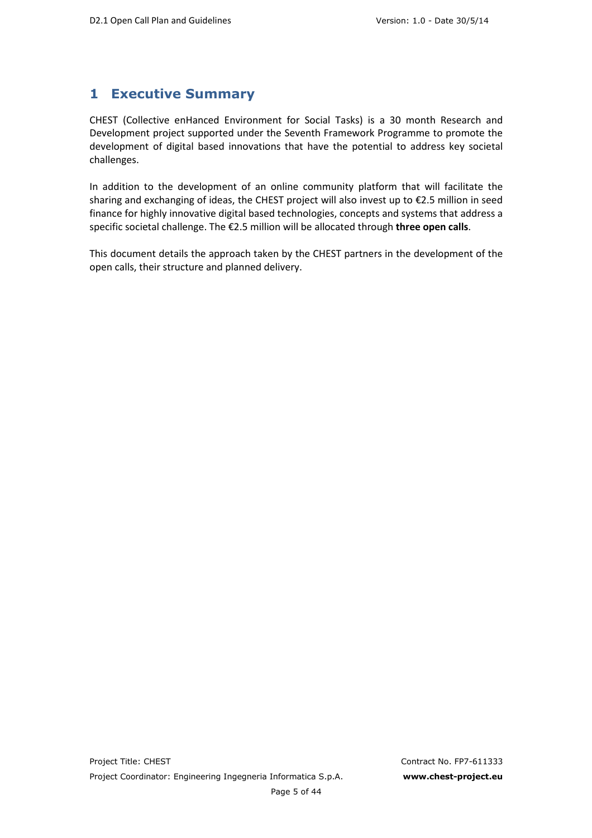## **1 Executive Summary**

CHEST (Collective enHanced Environment for Social Tasks) is a 30 month Research and Development project supported under the Seventh Framework Programme to promote the development of digital based innovations that have the potential to address key societal challenges.

In addition to the development of an online community platform that will facilitate the sharing and exchanging of ideas, the CHEST project will also invest up to €2.5 million in seed finance for highly innovative digital based technologies, concepts and systems that address a specific societal challenge. The €2.5 million will be allocated through **three open calls**.

This document details the approach taken by the CHEST partners in the development of the open calls, their structure and planned delivery.

Page 5 of 44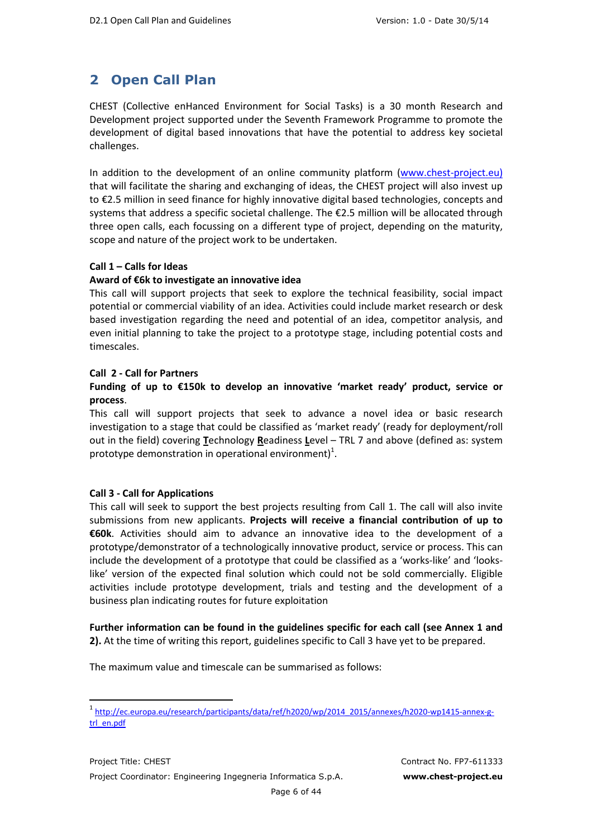## **2 Open Call Plan**

CHEST (Collective enHanced Environment for Social Tasks) is a 30 month Research and Development project supported under the Seventh Framework Programme to promote the development of digital based innovations that have the potential to address key societal challenges.

In addition to the development of an online community platform (www.chest-project.eu) that will facilitate the sharing and exchanging of ideas, the CHEST project will also invest up to €2.5 million in seed finance for highly innovative digital based technologies, concepts and systems that address a specific societal challenge. The €2.5 million will be allocated through three open calls, each focussing on a different type of project, depending on the maturity, scope and nature of the project work to be undertaken.

### **Call 1 – Calls for Ideas**

### **Award of €6k to investigate an innovative idea**

This call will support projects that seek to explore the technical feasibility, social impact potential or commercial viability of an idea. Activities could include market research or desk based investigation regarding the need and potential of an idea, competitor analysis, and even initial planning to take the project to a prototype stage, including potential costs and timescales.

### **Call 2 - Call for Partners**

### **Funding of up to €150k to develop an innovative 'market ready' product, service or process**.

This call will support projects that seek to advance a novel idea or basic research investigation to a stage that could be classified as 'market ready' (ready for deployment/roll out in the field) covering **T**echnology **R**eadiness **L**evel – TRL 7 and above (defined as: system prototype demonstration in operational environment)<sup>1</sup>.

### **Call 3 - Call for Applications**

l

This call will seek to support the best projects resulting from Call 1. The call will also invite submissions from new applicants. **Projects will receive a financial contribution of up to €60k**. Activities should aim to advance an innovative idea to the development of a prototype/demonstrator of a technologically innovative product, service or process. This can include the development of a prototype that could be classified as a 'works-like' and 'lookslike' version of the expected final solution which could not be sold commercially. Eligible activities include prototype development, trials and testing and the development of a business plan indicating routes for future exploitation

**Further information can be found in the guidelines specific for each call (see Annex 1 and 2).** At the time of writing this report, guidelines specific to Call 3 have yet to be prepared.

The maximum value and timescale can be summarised as follows:

<sup>1</sup> http://ec.europa.eu/research/participants/data/ref/h2020/wp/2014\_2015/annexes/h2020-wp1415-annex-gtrl\_en.pdf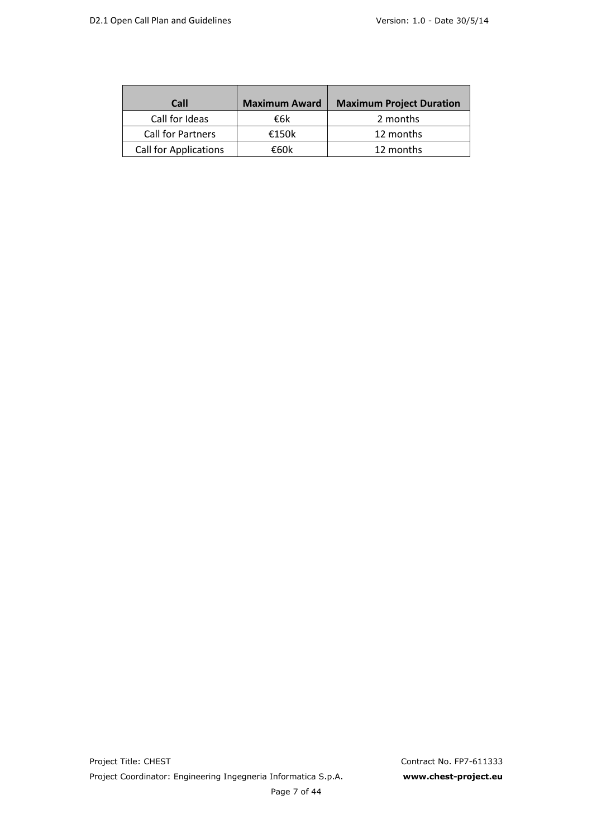| Call                         | <b>Maximum Award</b> | <b>Maximum Project Duration</b> |
|------------------------------|----------------------|---------------------------------|
| Call for Ideas               | €6k                  | 2 months                        |
| Call for Partners            | €150 $k$             | 12 months                       |
| <b>Call for Applications</b> | €60k                 | 12 months                       |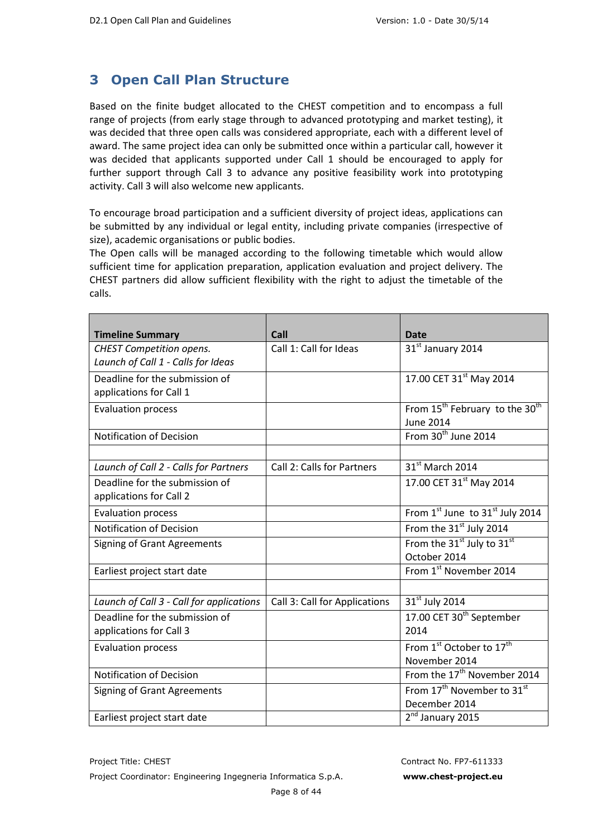## **3 Open Call Plan Structure**

Based on the finite budget allocated to the CHEST competition and to encompass a full range of projects (from early stage through to advanced prototyping and market testing), it was decided that three open calls was considered appropriate, each with a different level of award. The same project idea can only be submitted once within a particular call, however it was decided that applicants supported under Call 1 should be encouraged to apply for further support through Call 3 to advance any positive feasibility work into prototyping activity. Call 3 will also welcome new applicants.

To encourage broad participation and a sufficient diversity of project ideas, applications can be submitted by any individual or legal entity, including private companies (irrespective of size), academic organisations or public bodies.

The Open calls will be managed according to the following timetable which would allow sufficient time for application preparation, application evaluation and project delivery. The CHEST partners did allow sufficient flexibility with the right to adjust the timetable of the calls.

| <b>Timeline Summary</b>                  | Call                          | <b>Date</b>                                            |
|------------------------------------------|-------------------------------|--------------------------------------------------------|
| <b>CHEST Competition opens.</b>          | Call 1: Call for Ideas        | 31st January 2014                                      |
| Launch of Call 1 - Calls for Ideas       |                               |                                                        |
| Deadline for the submission of           |                               | 17.00 CET 31 <sup>st</sup> May 2014                    |
| applications for Call 1                  |                               |                                                        |
| <b>Evaluation process</b>                |                               | From 15 <sup>th</sup> February to the 30 <sup>th</sup> |
|                                          |                               | <b>June 2014</b>                                       |
| <b>Notification of Decision</b>          |                               | From 30 <sup>th</sup> June 2014                        |
|                                          |                               |                                                        |
| Launch of Call 2 - Calls for Partners    | Call 2: Calls for Partners    | 31 <sup>st</sup> March 2014                            |
| Deadline for the submission of           |                               | 17.00 CET 31st May 2014                                |
| applications for Call 2                  |                               |                                                        |
| <b>Evaluation process</b>                |                               | From 1st June to 31st July 2014                        |
| <b>Notification of Decision</b>          |                               | From the 31 <sup>st</sup> July 2014                    |
| <b>Signing of Grant Agreements</b>       |                               | From the 31 <sup>st</sup> July to 31 <sup>st</sup>     |
|                                          |                               | October 2014                                           |
| Earliest project start date              |                               | From 1st November 2014                                 |
|                                          |                               |                                                        |
| Launch of Call 3 - Call for applications | Call 3: Call for Applications | 31 <sup>st</sup> July 2014                             |
| Deadline for the submission of           |                               | 17.00 CET 30 <sup>th</sup> September                   |
| applications for Call 3                  |                               | 2014                                                   |
| <b>Evaluation process</b>                |                               | From 1st October to 17 <sup>th</sup>                   |
|                                          |                               | November 2014                                          |
| <b>Notification of Decision</b>          |                               | From the 17 <sup>th</sup> November 2014                |
| <b>Signing of Grant Agreements</b>       |                               | From 17 <sup>th</sup> November to 31 <sup>st</sup>     |
|                                          |                               | December 2014                                          |
| Earliest project start date              |                               | 2 <sup>nd</sup> January 2015                           |

Project Title: CHEST CONTRACTES CHEST CONTRACTES CONTRACTES CONTRACTES CONTRACTES CONTRACTES CONTRACTES CONTRACTES CONTRACTES CONTRACTES CONTRACTES CONTRACTES CONTRACTES CONTRACTES CONTRACTES CONTRACTES CONTRACTES CONTRACT Project Coordinator: Engineering Ingegneria Informatica S.p.A. **www.chest-project.eu**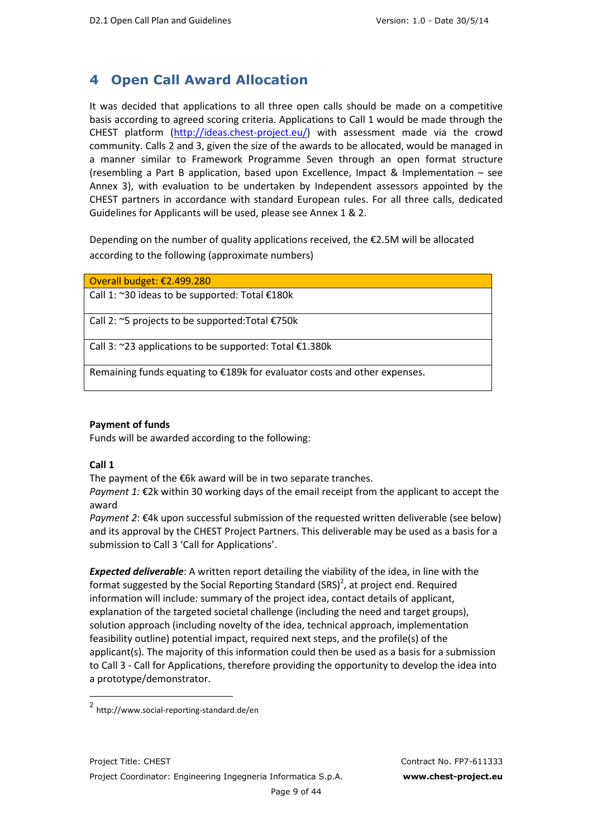# **4 Open Call Award Allocation**

It was decided that applications to all three open calls should be made on a competitive basis according to agreed scoring criteria. Applications to Call 1 would be made through the CHEST platform (http://ideas.chest-project.eu/) with assessment made via the crowd community. Calls 2 and 3, given the size of the awards to be allocated, would be managed in a manner similar to Framework Programme Seven through an open format structure (resembling a Part B application, based upon Excellence, Impact & Implementation – see Annex 3), with evaluation to be undertaken by Independent assessors appointed by the CHEST partners in accordance with standard European rules. For all three calls, dedicated Guidelines for Applicants will be used, please see Annex 1 & 2.

Depending on the number of quality applications received, the  $\epsilon$ 2.5M will be allocated according to the following (approximate numbers)

| Overall budget: €2.499.280                                                |
|---------------------------------------------------------------------------|
| Call 1: ~30 ideas to be supported: Total €180k                            |
| Call 2: ~5 projects to be supported: Total €750k                          |
| Call 3: ~23 applications to be supported: Total €1.380k                   |
| Remaining funds equating to €189k for evaluator costs and other expenses. |

### **Payment of funds**

Funds will be awarded according to the following:

### **Call 1**

 $\overline{a}$ 

The payment of the €6k award will be in two separate tranches.

*Payment 1:* €2k within 30 working days of the email receipt from the applicant to accept the award

*Payment 2*: €4k upon successful submission of the requested written deliverable (see below) and its approval by the CHEST Project Partners. This deliverable may be used as a basis for a submission to Call 3 'Call for Applications'.

*Expected deliverable*: A written report detailing the viability of the idea, in line with the format suggested by the Social Reporting Standard (SRS)<sup>2</sup>, at project end. Required information will include: summary of the project idea, contact details of applicant, explanation of the targeted societal challenge (including the need and target groups), solution approach (including novelty of the idea, technical approach, implementation feasibility outline) potential impact, required next steps, and the profile(s) of the applicant(s). The majority of this information could then be used as a basis for a submission to Call 3 - Call for Applications, therefore providing the opportunity to develop the idea into a prototype/demonstrator.

<sup>2</sup> http://www.social-reporting-standard.de/en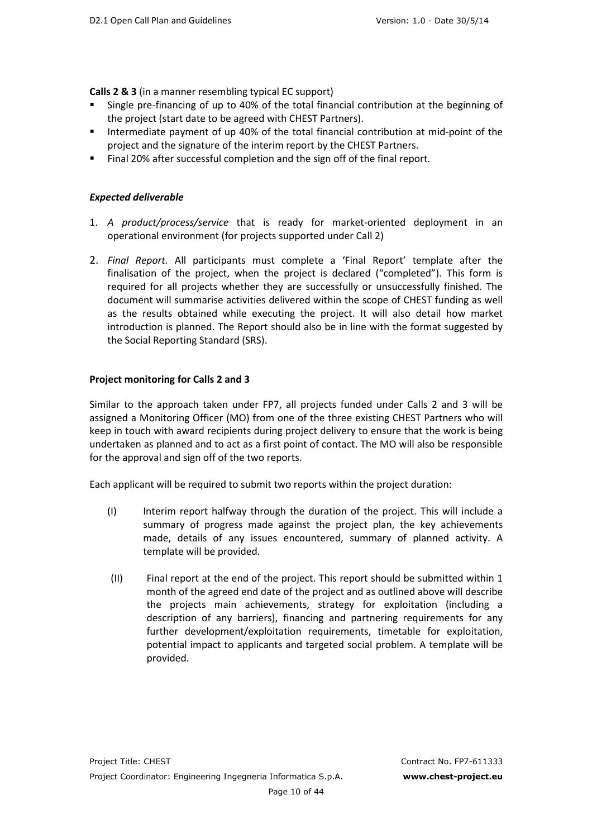**Calls 2 & 3** (in a manner resembling typical EC support)

- Single pre-financing of up to 40% of the total financial contribution at the beginning of the project (start date to be agreed with CHEST Partners).
- Intermediate payment of up 40% of the total financial contribution at mid-point of the project and the signature of the interim report by the CHEST Partners.
- Final 20% after successful completion and the sign off of the final report.

#### *Expected deliverable*

- 1. *A product/process/service* that is ready for market-oriented deployment in an operational environment (for projects supported under Call 2)
- 2. *Final Report.* All participants must complete a 'Final Report' template after the finalisation of the project, when the project is declared ("completed"). This form is required for all projects whether they are successfully or unsuccessfully finished. The document will summarise activities delivered within the scope of CHEST funding as well as the results obtained while executing the project. It will also detail how market introduction is planned. The Report should also be in line with the format suggested by the Social Reporting Standard (SRS).

### **Project monitoring for Calls 2 and 3**

Similar to the approach taken under FP7, all projects funded under Calls 2 and 3 will be assigned a Monitoring Officer (MO) from one of the three existing CHEST Partners who will keep in touch with award recipients during project delivery to ensure that the work is being undertaken as planned and to act as a first point of contact. The MO will also be responsible for the approval and sign off of the two reports.

Each applicant will be required to submit two reports within the project duration:

- (I) Interim report halfway through the duration of the project. This will include a summary of progress made against the project plan, the key achievements made, details of any issues encountered, summary of planned activity. A template will be provided.
- (II) Final report at the end of the project. This report should be submitted within 1 month of the agreed end date of the project and as outlined above will describe the projects main achievements, strategy for exploitation (including a description of any barriers), financing and partnering requirements for any further development/exploitation requirements, timetable for exploitation, potential impact to applicants and targeted social problem. A template will be provided.

Page 10 of 44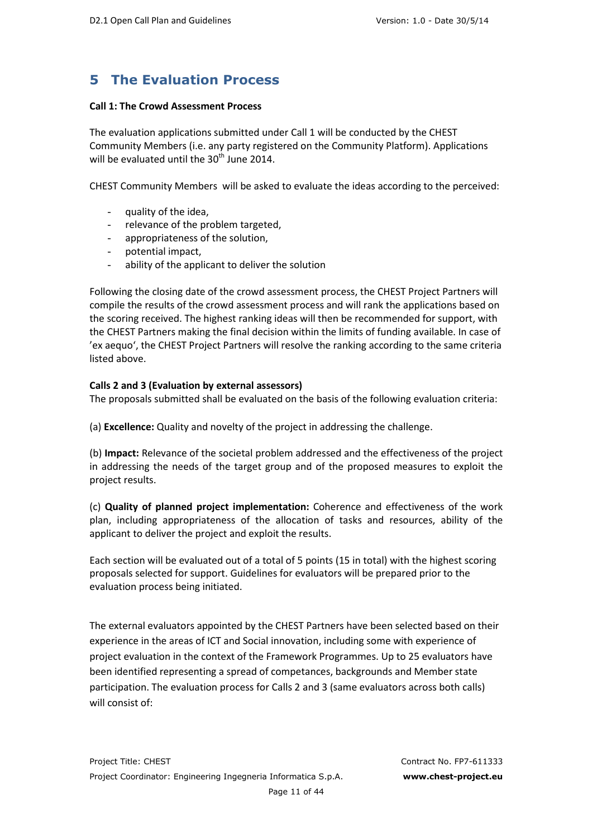# **5 The Evaluation Process**

### **Call 1: The Crowd Assessment Process**

The evaluation applications submitted under Call 1 will be conducted by the CHEST Community Members (i.e. any party registered on the Community Platform). Applications will be evaluated until the  $30<sup>th</sup>$  June 2014.

CHEST Community Members will be asked to evaluate the ideas according to the perceived:

- quality of the idea,
- relevance of the problem targeted,
- appropriateness of the solution,
- potential impact,
- ability of the applicant to deliver the solution

Following the closing date of the crowd assessment process, the CHEST Project Partners will compile the results of the crowd assessment process and will rank the applications based on the scoring received. The highest ranking ideas will then be recommended for support, with the CHEST Partners making the final decision within the limits of funding available. In case of 'ex aequo', the CHEST Project Partners will resolve the ranking according to the same criteria listed above.

### **Calls 2 and 3 (Evaluation by external assessors)**

The proposals submitted shall be evaluated on the basis of the following evaluation criteria:

(a) **Excellence:** Quality and novelty of the project in addressing the challenge.

(b) **Impact:** Relevance of the societal problem addressed and the effectiveness of the project in addressing the needs of the target group and of the proposed measures to exploit the project results.

(c) **Quality of planned project implementation:** Coherence and effectiveness of the work plan, including appropriateness of the allocation of tasks and resources, ability of the applicant to deliver the project and exploit the results.

Each section will be evaluated out of a total of 5 points (15 in total) with the highest scoring proposals selected for support. Guidelines for evaluators will be prepared prior to the evaluation process being initiated.

The external evaluators appointed by the CHEST Partners have been selected based on their experience in the areas of ICT and Social innovation, including some with experience of project evaluation in the context of the Framework Programmes. Up to 25 evaluators have been identified representing a spread of competances, backgrounds and Member state participation. The evaluation process for Calls 2 and 3 (same evaluators across both calls) will consist of: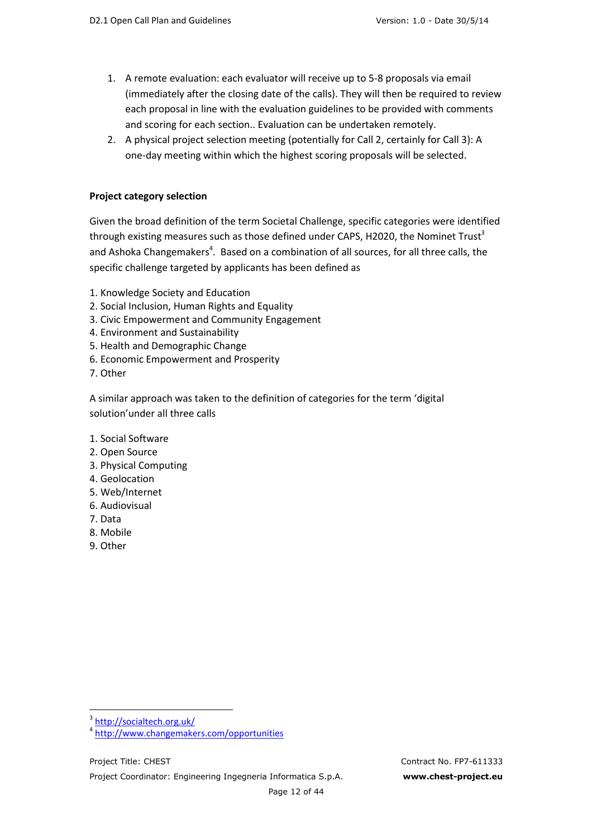- 1. A remote evaluation: each evaluator will receive up to 5-8 proposals via email (immediately after the closing date of the calls). They will then be required to review each proposal in line with the evaluation guidelines to be provided with comments and scoring for each section.. Evaluation can be undertaken remotely.
- 2. A physical project selection meeting (potentially for Call 2, certainly for Call 3): A one-day meeting within which the highest scoring proposals will be selected.

### **Project category selection**

Given the broad definition of the term Societal Challenge, specific categories were identified through existing measures such as those defined under CAPS, H2020, the Nominet Trust<sup>3</sup> and Ashoka Changemakers<sup>4</sup>. Based on a combination of all sources, for all three calls, the specific challenge targeted by applicants has been defined as

- 1. Knowledge Society and Education
- 2. Social Inclusion, Human Rights and Equality
- 3. Civic Empowerment and Community Engagement
- 4. Environment and Sustainability
- 5. Health and Demographic Change
- 6. Economic Empowerment and Prosperity
- 7. Other

A similar approach was taken to the definition of categories for the term 'digital solution'under all three calls

- 1. Social Software
- 2. Open Source
- 3. Physical Computing
- 4. Geolocation
- 5. Web/Internet
- 6. Audiovisual
- 7. Data
- 8. Mobile
- 9. Other

 $\overline{a}$ 

Project Coordinator: Engineering Ingegneria Informatica S.p.A. **www.chest-project.eu**

<sup>&</sup>lt;sup>3</sup> http://socialtech.org.uk/

<sup>4</sup> http://www.changemakers.com/opportunities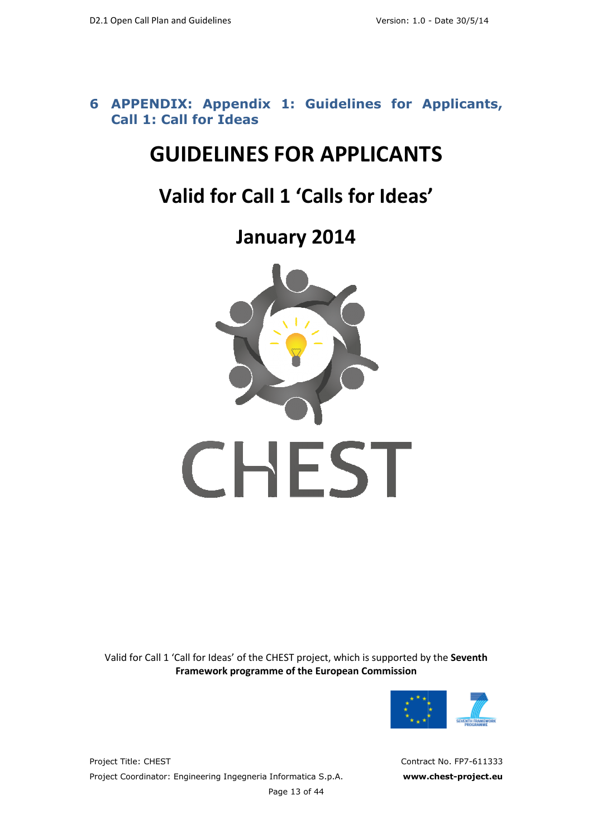## **6 APPENDIX: Appendix 1: Guidelines for Applicants, Call 1: Call for Ideas**

# **GUIDELINES FOR APPLICANTS**

# **Valid for Call 1 'Calls for Ideas'**

**January 2014** 



Valid for Call 1 'Call for Ideas' of the CHEST project, which is supported by the **Seventh Framework programme of the European Commission**

Page 13 of 44



Project Title: CHEST Project Coordinator: Engineering Engineering Ingegneria Informatica S.p.A. **www.c**

Contract No. FP7-611333 **www.chest-project.eu**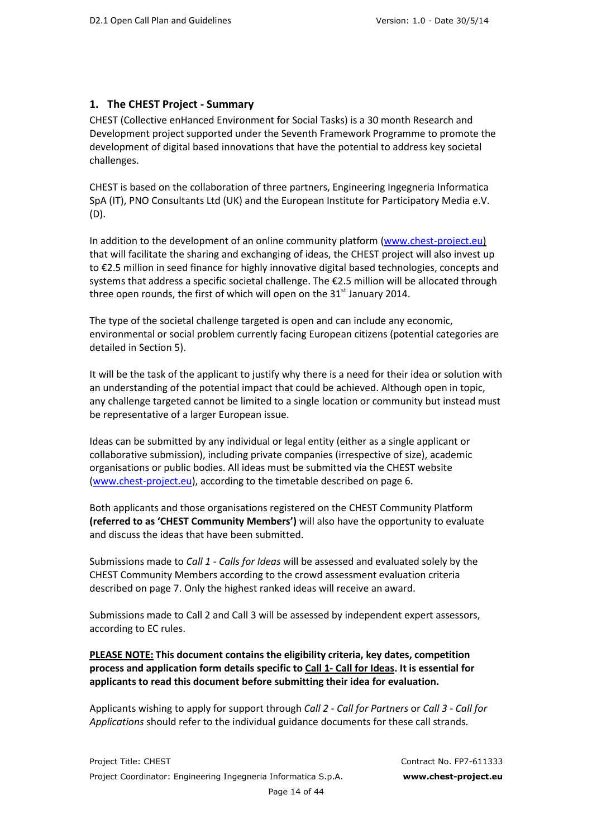### **1. The CHEST Project - Summary**

CHEST (Collective enHanced Environment for Social Tasks) is a 30 month Research and Development project supported under the Seventh Framework Programme to promote the development of digital based innovations that have the potential to address key societal challenges.

CHEST is based on the collaboration of three partners, Engineering Ingegneria Informatica SpA (IT), PNO Consultants Ltd (UK) and the European Institute for Participatory Media e.V. (D).

In addition to the development of an online community platform (www.chest-project.eu) that will facilitate the sharing and exchanging of ideas, the CHEST project will also invest up to €2.5 million in seed finance for highly innovative digital based technologies, concepts and systems that address a specific societal challenge. The €2.5 million will be allocated through three open rounds, the first of which will open on the  $31<sup>st</sup>$  January 2014.

The type of the societal challenge targeted is open and can include any economic, environmental or social problem currently facing European citizens (potential categories are detailed in Section 5).

It will be the task of the applicant to justify why there is a need for their idea or solution with an understanding of the potential impact that could be achieved. Although open in topic, any challenge targeted cannot be limited to a single location or community but instead must be representative of a larger European issue.

Ideas can be submitted by any individual or legal entity (either as a single applicant or collaborative submission), including private companies (irrespective of size), academic organisations or public bodies. All ideas must be submitted via the CHEST website (www.chest-project.eu), according to the timetable described on page 6.

Both applicants and those organisations registered on the CHEST Community Platform **(referred to as 'CHEST Community Members')** will also have the opportunity to evaluate and discuss the ideas that have been submitted.

Submissions made to *Call 1 - Calls for Ideas* will be assessed and evaluated solely by the CHEST Community Members according to the crowd assessment evaluation criteria described on page 7. Only the highest ranked ideas will receive an award.

Submissions made to Call 2 and Call 3 will be assessed by independent expert assessors, according to EC rules.

**PLEASE NOTE: This document contains the eligibility criteria, key dates, competition process and application form details specific to Call 1- Call for Ideas. It is essential for applicants to read this document before submitting their idea for evaluation.** 

Applicants wishing to apply for support through *Call 2 - Call for Partners* or *Call 3 - Call for Applications* should refer to the individual guidance documents for these call strands.

Page 14 of 44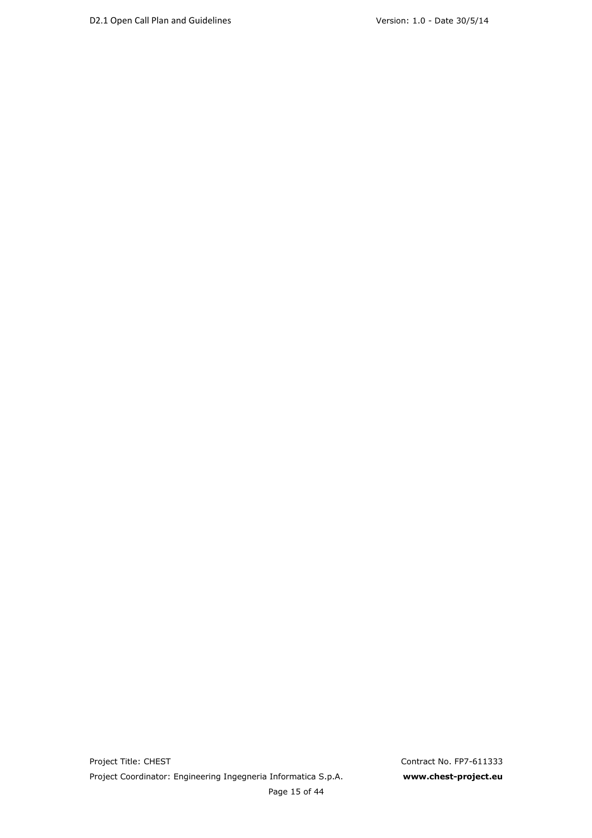Project Title: CHEST CONTRACTES Project Coordinator: Engineering Ingegneria Informatica S.p.A. **www.chest-project.eu**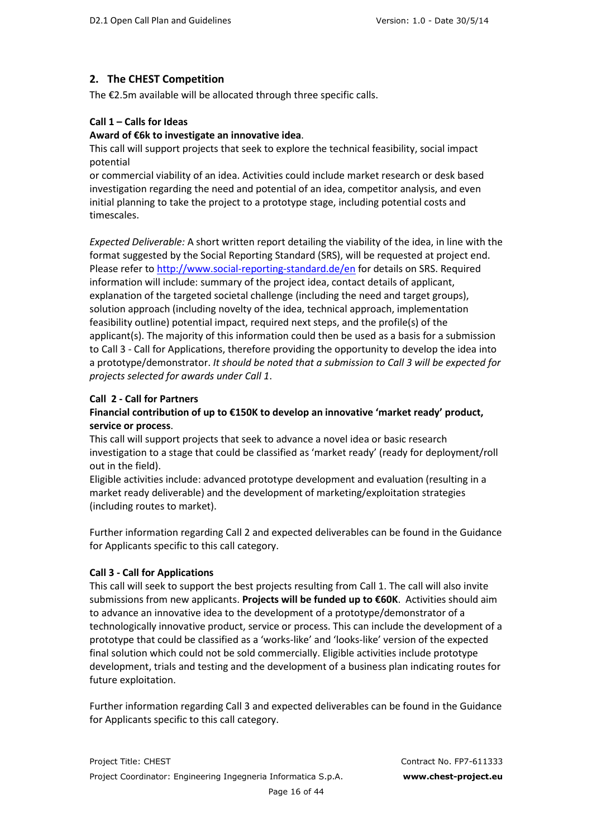## **2. The CHEST Competition**

The €2.5m available will be allocated through three specific calls.

### **Call 1 – Calls for Ideas**

### **Award of €6k to investigate an innovative idea**.

This call will support projects that seek to explore the technical feasibility, social impact potential

or commercial viability of an idea. Activities could include market research or desk based investigation regarding the need and potential of an idea, competitor analysis, and even initial planning to take the project to a prototype stage, including potential costs and timescales.

*Expected Deliverable:* A short written report detailing the viability of the idea, in line with the format suggested by the Social Reporting Standard (SRS), will be requested at project end. Please refer to http://www.social-reporting-standard.de/en for details on SRS. Required information will include: summary of the project idea, contact details of applicant, explanation of the targeted societal challenge (including the need and target groups), solution approach (including novelty of the idea, technical approach, implementation feasibility outline) potential impact, required next steps, and the profile(s) of the applicant(s). The majority of this information could then be used as a basis for a submission to Call 3 - Call for Applications, therefore providing the opportunity to develop the idea into a prototype/demonstrator. *It should be noted that a submission to Call 3 will be expected for projects selected for awards under Call 1*.

### **Call 2 - Call for Partners**

### **Financial contribution of up to €150K to develop an innovative 'market ready' product, service or process**.

This call will support projects that seek to advance a novel idea or basic research investigation to a stage that could be classified as 'market ready' (ready for deployment/roll out in the field).

Eligible activities include: advanced prototype development and evaluation (resulting in a market ready deliverable) and the development of marketing/exploitation strategies (including routes to market).

Further information regarding Call 2 and expected deliverables can be found in the Guidance for Applicants specific to this call category.

### **Call 3 - Call for Applications**

This call will seek to support the best projects resulting from Call 1. The call will also invite submissions from new applicants. **Projects will be funded up to €60K**. Activities should aim to advance an innovative idea to the development of a prototype/demonstrator of a technologically innovative product, service or process. This can include the development of a prototype that could be classified as a 'works-like' and 'looks-like' version of the expected final solution which could not be sold commercially. Eligible activities include prototype development, trials and testing and the development of a business plan indicating routes for future exploitation.

Further information regarding Call 3 and expected deliverables can be found in the Guidance for Applicants specific to this call category.

Page 16 of 44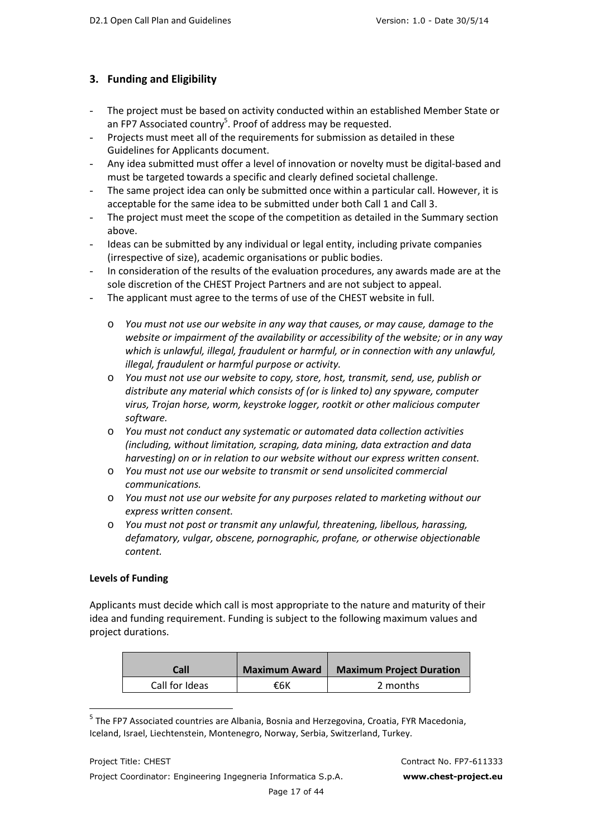## **3. Funding and Eligibility**

- The project must be based on activity conducted within an established Member State or an FP7 Associated country<sup>5</sup>. Proof of address may be requested.
- Projects must meet all of the requirements for submission as detailed in these Guidelines for Applicants document.
- Any idea submitted must offer a level of innovation or novelty must be digital-based and must be targeted towards a specific and clearly defined societal challenge.
- The same project idea can only be submitted once within a particular call. However, it is acceptable for the same idea to be submitted under both Call 1 and Call 3.
- The project must meet the scope of the competition as detailed in the Summary section above.
- Ideas can be submitted by any individual or legal entity, including private companies (irrespective of size), academic organisations or public bodies.
- In consideration of the results of the evaluation procedures, any awards made are at the sole discretion of the CHEST Project Partners and are not subject to appeal.
- The applicant must agree to the terms of use of the CHEST website in full.
	- o *You must not use our website in any way that causes, or may cause, damage to the website or impairment of the availability or accessibility of the website; or in any way which is unlawful, illegal, fraudulent or harmful, or in connection with any unlawful, illegal, fraudulent or harmful purpose or activity.*
	- o *You must not use our website to copy, store, host, transmit, send, use, publish or distribute any material which consists of (or is linked to) any spyware, computer virus, Trojan horse, worm, keystroke logger, rootkit or other malicious computer software.*
	- o *You must not conduct any systematic or automated data collection activities (including, without limitation, scraping, data mining, data extraction and data harvesting) on or in relation to our website without our express written consent.*
	- o *You must not use our website to transmit or send unsolicited commercial communications.*
	- o *You must not use our website for any purposes related to marketing without our express written consent.*
	- o *You must not post or transmit any unlawful, threatening, libellous, harassing, defamatory, vulgar, obscene, pornographic, profane, or otherwise objectionable content.*

### **Levels of Funding**

l

Applicants must decide which call is most appropriate to the nature and maturity of their idea and funding requirement. Funding is subject to the following maximum values and project durations.

| Call           | <b>Maximum Award</b> | <b>Maximum Project Duration</b> |
|----------------|----------------------|---------------------------------|
| Call for Ideas | €6К                  | 2 months                        |

<sup>&</sup>lt;sup>5</sup> The FP7 Associated countries are Albania, Bosnia and Herzegovina, Croatia, FYR Macedonia, Iceland, Israel, Liechtenstein, Montenegro, Norway, Serbia, Switzerland, Turkey.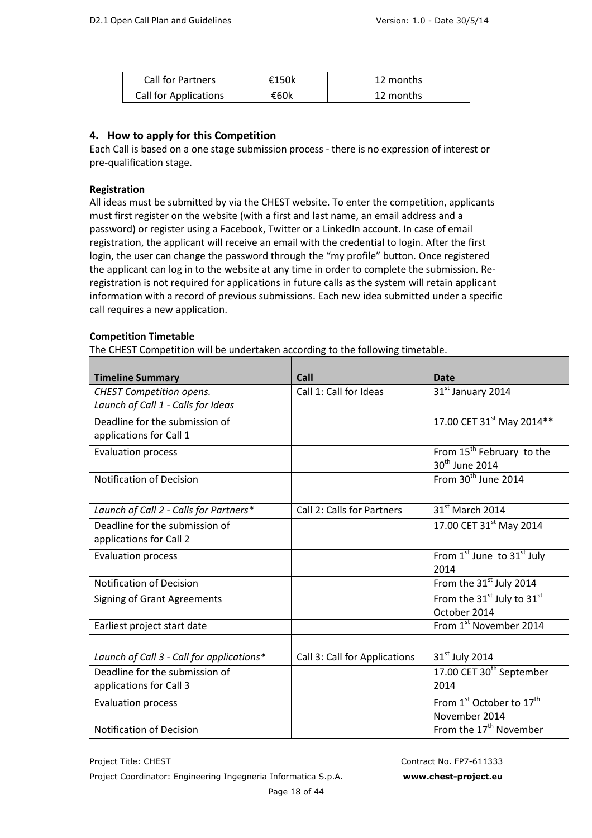| <b>Call for Partners</b>     | €150 $k$ | 12 months |
|------------------------------|----------|-----------|
| <b>Call for Applications</b> | €60k     | 12 months |

### **4. How to apply for this Competition**

Each Call is based on a one stage submission process - there is no expression of interest or pre-qualification stage.

### **Registration**

All ideas must be submitted by via the CHEST website. To enter the competition, applicants must first register on the website (with a first and last name, an email address and a password) or register using a Facebook, Twitter or a LinkedIn account. In case of email registration, the applicant will receive an email with the credential to login. After the first login, the user can change the password through the "my profile" button. Once registered the applicant can log in to the website at any time in order to complete the submission. Reregistration is not required for applications in future calls as the system will retain applicant information with a record of previous submissions. Each new idea submitted under a specific call requires a new application.

### **Competition Timetable**

The CHEST Competition will be undertaken according to the following timetable.

| <b>Timeline Summary</b>                   | Call                          | <b>Date</b>                                        |
|-------------------------------------------|-------------------------------|----------------------------------------------------|
| <b>CHEST Competition opens.</b>           | Call 1: Call for Ideas        | 31st January 2014                                  |
| Launch of Call 1 - Calls for Ideas        |                               |                                                    |
| Deadline for the submission of            |                               | 17.00 CET 31st May 2014**                          |
|                                           |                               |                                                    |
| applications for Call 1                   |                               |                                                    |
| <b>Evaluation process</b>                 |                               | From 15 <sup>th</sup> February to the              |
|                                           |                               | 30 <sup>th</sup> June 2014                         |
| Notification of Decision                  |                               | From 30 <sup>th</sup> June 2014                    |
|                                           |                               |                                                    |
| Launch of Call 2 - Calls for Partners*    | Call 2: Calls for Partners    | 31 <sup>st</sup> March 2014                        |
| Deadline for the submission of            |                               | 17.00 CET 31 <sup>st</sup> May 2014                |
| applications for Call 2                   |                               |                                                    |
| <b>Evaluation process</b>                 |                               | From $1^{st}$ June to $31^{st}$ July               |
|                                           |                               | 2014                                               |
| <b>Notification of Decision</b>           |                               | From the 31 <sup>st</sup> July 2014                |
| <b>Signing of Grant Agreements</b>        |                               | From the 31 <sup>st</sup> July to 31 <sup>st</sup> |
|                                           |                               | October 2014                                       |
| Earliest project start date               |                               | From 1st November 2014                             |
|                                           |                               |                                                    |
| Launch of Call 3 - Call for applications* | Call 3: Call for Applications | 31 <sup>st</sup> July 2014                         |
| Deadline for the submission of            |                               | 17.00 CET 30 <sup>th</sup> September               |
| applications for Call 3                   |                               | 2014                                               |
| <b>Evaluation process</b>                 |                               | From 1st October to 17 <sup>th</sup>               |
|                                           |                               | November 2014                                      |
| <b>Notification of Decision</b>           |                               | From the 17 <sup>th</sup> November                 |

Project Title: CHEST CONTRACT CHEST CONTRACT NO. FP7-611333 Project Coordinator: Engineering Ingegneria Informatica S.p.A. **www.chest-project.eu**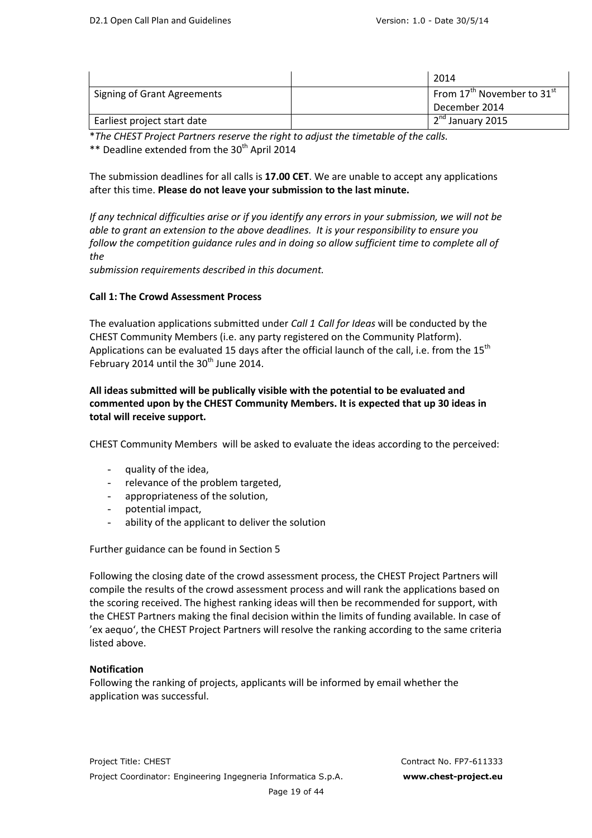|                             | 2014                                                           |
|-----------------------------|----------------------------------------------------------------|
| Signing of Grant Agreements | $^{\prime}$ From 17 <sup>th</sup> November to 31 $^{\rm st}$ . |
|                             | December 2014                                                  |
| Earliest project start date | 2 <sup>nd</sup> January 2015                                   |

\**The CHEST Project Partners reserve the right to adjust the timetable of the calls.*  \*\* Deadline extended from the 30<sup>th</sup> April 2014

The submission deadlines for all calls is **17.00 CET**. We are unable to accept any applications after this time. **Please do not leave your submission to the last minute.** 

*If any technical difficulties arise or if you identify any errors in your submission, we will not be able to grant an extension to the above deadlines. It is your responsibility to ensure you follow the competition guidance rules and in doing so allow sufficient time to complete all of the* 

*submission requirements described in this document.*

### **Call 1: The Crowd Assessment Process**

The evaluation applications submitted under *Call 1 Call for Ideas* will be conducted by the CHEST Community Members (i.e. any party registered on the Community Platform). Applications can be evaluated 15 days after the official launch of the call, i.e. from the  $15<sup>th</sup>$ February 2014 until the  $30<sup>th</sup>$  June 2014.

### **All ideas submitted will be publically visible with the potential to be evaluated and commented upon by the CHEST Community Members. It is expected that up 30 ideas in total will receive support.**

CHEST Community Members will be asked to evaluate the ideas according to the perceived:

- quality of the idea.
- relevance of the problem targeted,
- appropriateness of the solution,
- potential impact,
- ability of the applicant to deliver the solution

Further guidance can be found in Section 5

Following the closing date of the crowd assessment process, the CHEST Project Partners will compile the results of the crowd assessment process and will rank the applications based on the scoring received. The highest ranking ideas will then be recommended for support, with the CHEST Partners making the final decision within the limits of funding available. In case of 'ex aequo', the CHEST Project Partners will resolve the ranking according to the same criteria listed above.

### **Notification**

Following the ranking of projects, applicants will be informed by email whether the application was successful.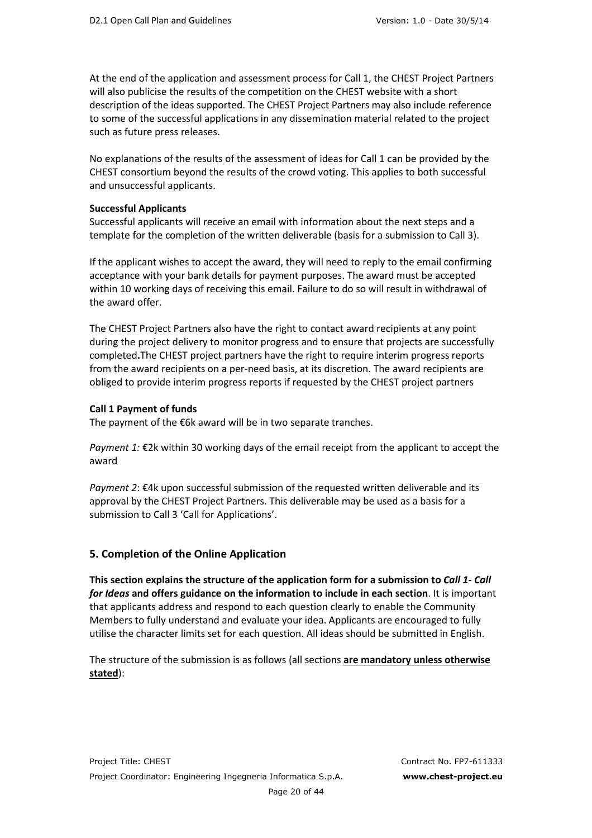At the end of the application and assessment process for Call 1, the CHEST Project Partners will also publicise the results of the competition on the CHEST website with a short description of the ideas supported. The CHEST Project Partners may also include reference to some of the successful applications in any dissemination material related to the project such as future press releases.

No explanations of the results of the assessment of ideas for Call 1 can be provided by the CHEST consortium beyond the results of the crowd voting. This applies to both successful and unsuccessful applicants.

### **Successful Applicants**

Successful applicants will receive an email with information about the next steps and a template for the completion of the written deliverable (basis for a submission to Call 3).

If the applicant wishes to accept the award, they will need to reply to the email confirming acceptance with your bank details for payment purposes. The award must be accepted within 10 working days of receiving this email. Failure to do so will result in withdrawal of the award offer.

The CHEST Project Partners also have the right to contact award recipients at any point during the project delivery to monitor progress and to ensure that projects are successfully completed**.**The CHEST project partners have the right to require interim progress reports from the award recipients on a per-need basis, at its discretion. The award recipients are obliged to provide interim progress reports if requested by the CHEST project partners

### **Call 1 Payment of funds**

The payment of the €6k award will be in two separate tranches.

*Payment 1:* €2k within 30 working days of the email receipt from the applicant to accept the award

*Payment 2*: €4k upon successful submission of the requested written deliverable and its approval by the CHEST Project Partners. This deliverable may be used as a basis for a submission to Call 3 'Call for Applications'.

### **5. Completion of the Online Application**

**This section explains the structure of the application form for a submission to** *Call 1- Call for Ideas* **and offers guidance on the information to include in each section**. It is important that applicants address and respond to each question clearly to enable the Community Members to fully understand and evaluate your idea. Applicants are encouraged to fully utilise the character limits set for each question. All ideas should be submitted in English.

The structure of the submission is as follows (all sections **are mandatory unless otherwise stated**):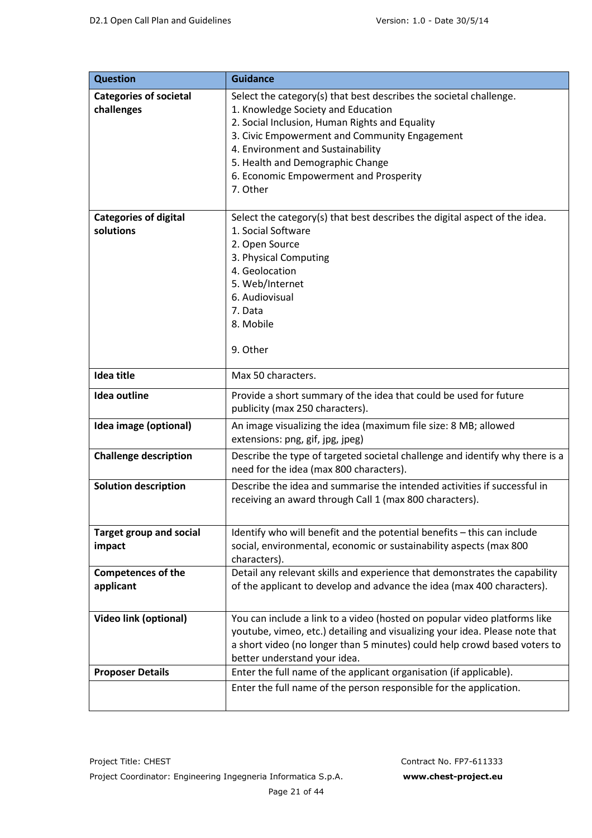| <b>Question</b>                | <b>Guidance</b>                                                              |
|--------------------------------|------------------------------------------------------------------------------|
| <b>Categories of societal</b>  | Select the category(s) that best describes the societal challenge.           |
| challenges                     | 1. Knowledge Society and Education                                           |
|                                | 2. Social Inclusion, Human Rights and Equality                               |
|                                | 3. Civic Empowerment and Community Engagement                                |
|                                | 4. Environment and Sustainability                                            |
|                                | 5. Health and Demographic Change                                             |
|                                | 6. Economic Empowerment and Prosperity                                       |
|                                | 7. Other                                                                     |
|                                |                                                                              |
| <b>Categories of digital</b>   | Select the category(s) that best describes the digital aspect of the idea.   |
| solutions                      | 1. Social Software                                                           |
|                                | 2. Open Source                                                               |
|                                | 3. Physical Computing                                                        |
|                                | 4. Geolocation                                                               |
|                                | 5. Web/Internet                                                              |
|                                | 6. Audiovisual                                                               |
|                                | 7. Data                                                                      |
|                                | 8. Mobile                                                                    |
|                                |                                                                              |
|                                | 9. Other                                                                     |
|                                |                                                                              |
| <b>Idea title</b>              | Max 50 characters.                                                           |
| <b>Idea outline</b>            | Provide a short summary of the idea that could be used for future            |
|                                | publicity (max 250 characters).                                              |
| Idea image (optional)          | An image visualizing the idea (maximum file size: 8 MB; allowed              |
|                                | extensions: png, gif, jpg, jpeg)                                             |
| <b>Challenge description</b>   | Describe the type of targeted societal challenge and identify why there is a |
|                                | need for the idea (max 800 characters).                                      |
| <b>Solution description</b>    | Describe the idea and summarise the intended activities if successful in     |
|                                | receiving an award through Call 1 (max 800 characters).                      |
|                                |                                                                              |
|                                |                                                                              |
| <b>Target group and social</b> | Identify who will benefit and the potential benefits - this can include      |
| impact                         | social, environmental, economic or sustainability aspects (max 800           |
|                                | characters).                                                                 |
| <b>Competences of the</b>      | Detail any relevant skills and experience that demonstrates the capability   |
| applicant                      | of the applicant to develop and advance the idea (max 400 characters).       |
|                                |                                                                              |
| <b>Video link (optional)</b>   | You can include a link to a video (hosted on popular video platforms like    |
|                                | youtube, vimeo, etc.) detailing and visualizing your idea. Please note that  |
|                                | a short video (no longer than 5 minutes) could help crowd based voters to    |
|                                | better understand your idea.                                                 |
| <b>Proposer Details</b>        | Enter the full name of the applicant organisation (if applicable).           |
|                                | Enter the full name of the person responsible for the application.           |
|                                |                                                                              |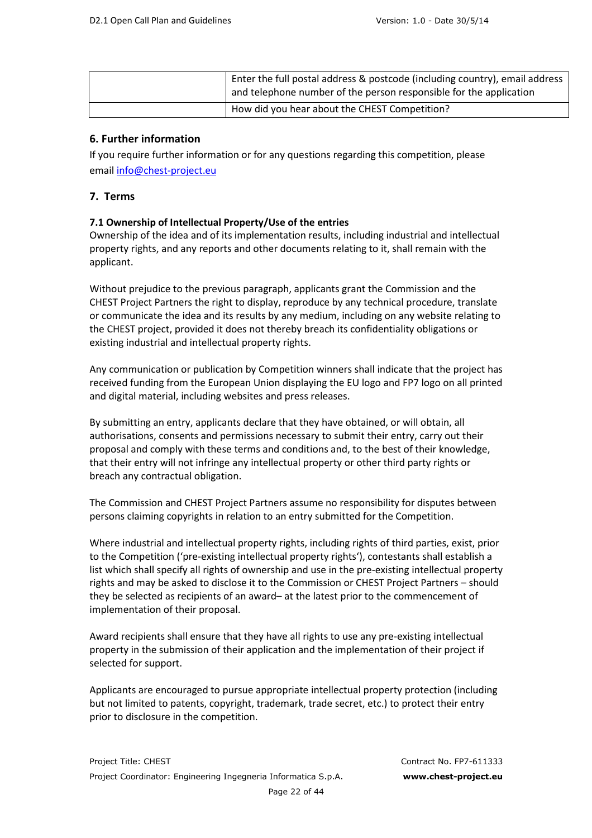| Enter the full postal address & postcode (including country), email address<br>and telephone number of the person responsible for the application |
|---------------------------------------------------------------------------------------------------------------------------------------------------|
| How did you hear about the CHEST Competition?                                                                                                     |

## **6. Further information**

If you require further information or for any questions regarding this competition, please email info@chest-project.eu

### **7. Terms**

### **7.1 Ownership of Intellectual Property/Use of the entries**

Ownership of the idea and of its implementation results, including industrial and intellectual property rights, and any reports and other documents relating to it, shall remain with the applicant.

Without prejudice to the previous paragraph, applicants grant the Commission and the CHEST Project Partners the right to display, reproduce by any technical procedure, translate or communicate the idea and its results by any medium, including on any website relating to the CHEST project, provided it does not thereby breach its confidentiality obligations or existing industrial and intellectual property rights.

Any communication or publication by Competition winners shall indicate that the project has received funding from the European Union displaying the EU logo and FP7 logo on all printed and digital material, including websites and press releases.

By submitting an entry, applicants declare that they have obtained, or will obtain, all authorisations, consents and permissions necessary to submit their entry, carry out their proposal and comply with these terms and conditions and, to the best of their knowledge, that their entry will not infringe any intellectual property or other third party rights or breach any contractual obligation.

The Commission and CHEST Project Partners assume no responsibility for disputes between persons claiming copyrights in relation to an entry submitted for the Competition.

Where industrial and intellectual property rights, including rights of third parties, exist, prior to the Competition ('pre-existing intellectual property rights'), contestants shall establish a list which shall specify all rights of ownership and use in the pre-existing intellectual property rights and may be asked to disclose it to the Commission or CHEST Project Partners – should they be selected as recipients of an award– at the latest prior to the commencement of implementation of their proposal.

Award recipients shall ensure that they have all rights to use any pre-existing intellectual property in the submission of their application and the implementation of their project if selected for support.

Applicants are encouraged to pursue appropriate intellectual property protection (including but not limited to patents, copyright, trademark, trade secret, etc.) to protect their entry prior to disclosure in the competition.

Page 22 of 44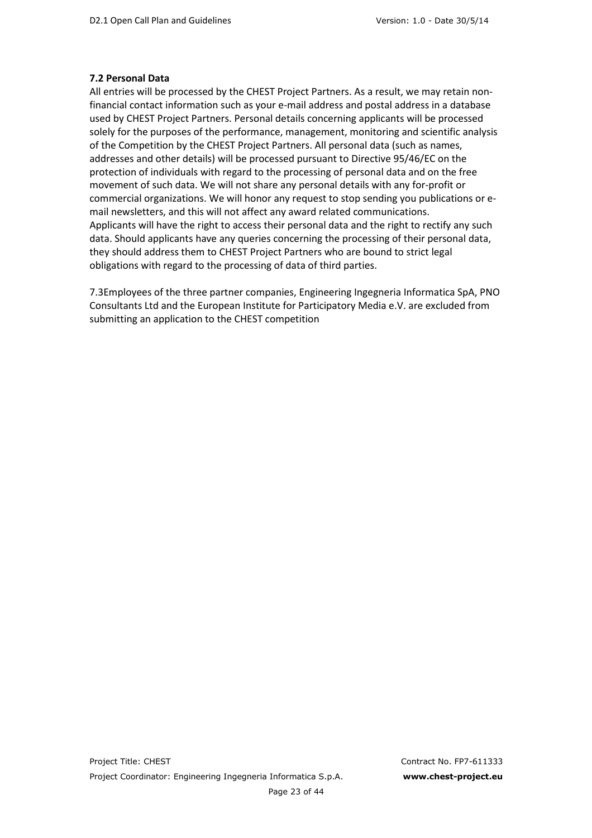### **7.2 Personal Data**

All entries will be processed by the CHEST Project Partners. As a result, we may retain nonfinancial contact information such as your e-mail address and postal address in a database used by CHEST Project Partners. Personal details concerning applicants will be processed solely for the purposes of the performance, management, monitoring and scientific analysis of the Competition by the CHEST Project Partners. All personal data (such as names, addresses and other details) will be processed pursuant to Directive 95/46/EC on the protection of individuals with regard to the processing of personal data and on the free movement of such data. We will not share any personal details with any for-profit or commercial organizations. We will honor any request to stop sending you publications or email newsletters, and this will not affect any award related communications. Applicants will have the right to access their personal data and the right to rectify any such data. Should applicants have any queries concerning the processing of their personal data, they should address them to CHEST Project Partners who are bound to strict legal obligations with regard to the processing of data of third parties.

7.3Employees of the three partner companies, Engineering Ingegneria Informatica SpA, PNO Consultants Ltd and the European Institute for Participatory Media e.V. are excluded from submitting an application to the CHEST competition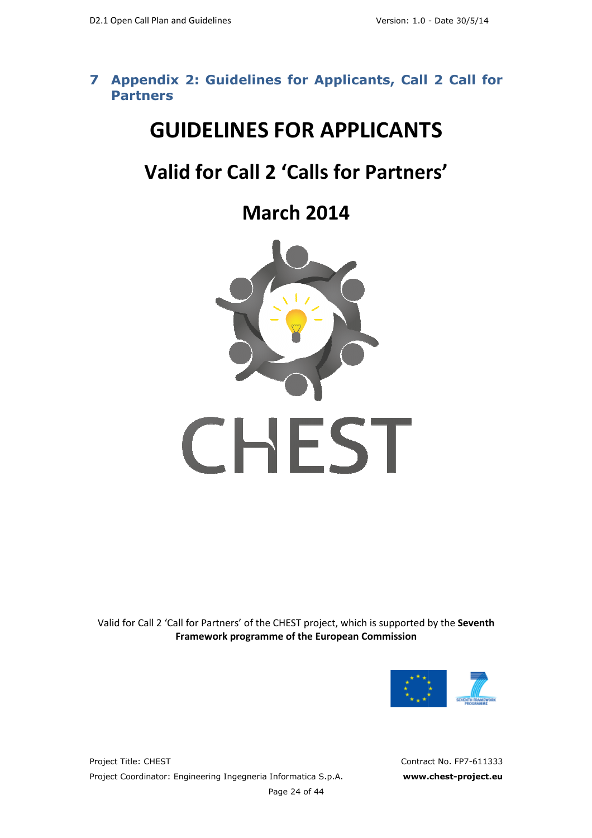## **7** Appendix 2: Guidelines for Applicants, Call 2 Call for **Partners**

# **GUIDELINES FOR APPLICANTS**

# **Valid for Call 2 'Calls for Partners'**

**March 2014** 



Valid for Call 2 'Call for Partners' of the CHEST project, which is supported by the **Seventh Framework programme of the European Commission** 



Project Title: CHEST Project Coordinator: Engineering Engineering Ingegneria Informatica S.p.A. **www.c** Page 24 of 44

Contract No. FP7-611333 **www.chest-project.eu**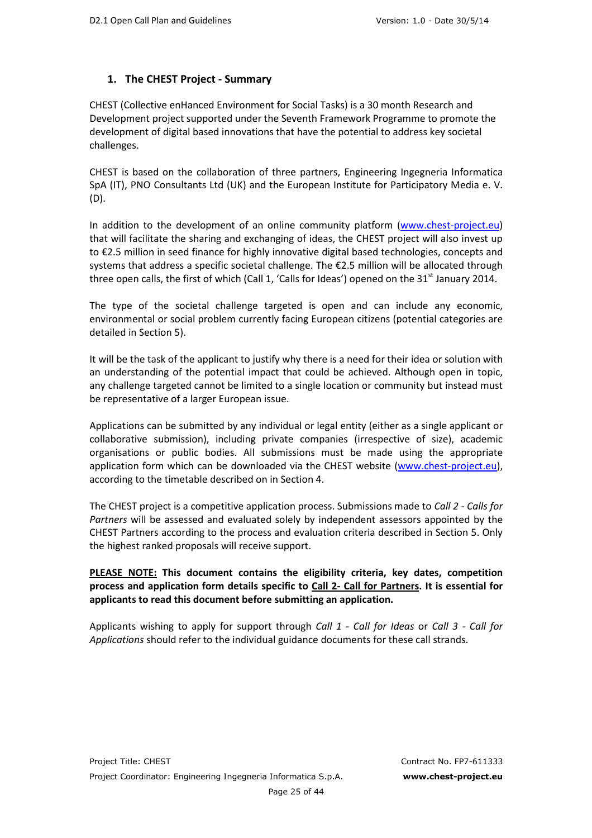## **1. The CHEST Project - Summary**

CHEST (Collective enHanced Environment for Social Tasks) is a 30 month Research and Development project supported under the Seventh Framework Programme to promote the development of digital based innovations that have the potential to address key societal challenges.

CHEST is based on the collaboration of three partners, Engineering Ingegneria Informatica SpA (IT), PNO Consultants Ltd (UK) and the European Institute for Participatory Media e. V. (D).

In addition to the development of an online community platform (www.chest-project.eu) that will facilitate the sharing and exchanging of ideas, the CHEST project will also invest up to €2.5 million in seed finance for highly innovative digital based technologies, concepts and systems that address a specific societal challenge. The €2.5 million will be allocated through three open calls, the first of which (Call 1, 'Calls for Ideas') opened on the  $31<sup>st</sup>$  January 2014.

The type of the societal challenge targeted is open and can include any economic, environmental or social problem currently facing European citizens (potential categories are detailed in Section 5).

It will be the task of the applicant to justify why there is a need for their idea or solution with an understanding of the potential impact that could be achieved. Although open in topic, any challenge targeted cannot be limited to a single location or community but instead must be representative of a larger European issue.

Applications can be submitted by any individual or legal entity (either as a single applicant or collaborative submission), including private companies (irrespective of size), academic organisations or public bodies. All submissions must be made using the appropriate application form which can be downloaded via the CHEST website (www.chest-project.eu), according to the timetable described on in Section 4.

The CHEST project is a competitive application process. Submissions made to *Call 2 - Calls for Partners* will be assessed and evaluated solely by independent assessors appointed by the CHEST Partners according to the process and evaluation criteria described in Section 5. Only the highest ranked proposals will receive support.

### **PLEASE NOTE: This document contains the eligibility criteria, key dates, competition process and application form details specific to Call 2- Call for Partners. It is essential for applicants to read this document before submitting an application.**

Applicants wishing to apply for support through *Call 1 - Call for Ideas* or *Call 3 - Call for Applications* should refer to the individual guidance documents for these call strands.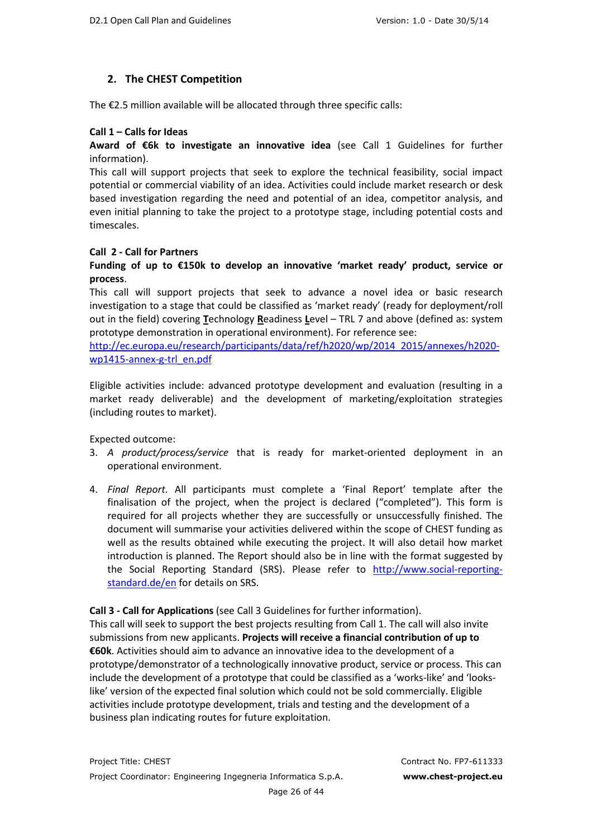## **2. The CHEST Competition**

The €2.5 million available will be allocated through three specific calls:

### **Call 1 – Calls for Ideas**

**Award of €6k to investigate an innovative idea** (see Call 1 Guidelines for further information).

This call will support projects that seek to explore the technical feasibility, social impact potential or commercial viability of an idea. Activities could include market research or desk based investigation regarding the need and potential of an idea, competitor analysis, and even initial planning to take the project to a prototype stage, including potential costs and timescales.

### **Call 2 - Call for Partners**

**Funding of up to €150k to develop an innovative 'market ready' product, service or process**.

This call will support projects that seek to advance a novel idea or basic research investigation to a stage that could be classified as 'market ready' (ready for deployment/roll out in the field) covering **T**echnology **R**eadiness **L**evel – TRL 7 and above (defined as: system prototype demonstration in operational environment). For reference see:

http://ec.europa.eu/research/participants/data/ref/h2020/wp/2014\_2015/annexes/h2020 wp1415-annex-g-trl\_en.pdf

Eligible activities include: advanced prototype development and evaluation (resulting in a market ready deliverable) and the development of marketing/exploitation strategies (including routes to market).

Expected outcome:

- 3. *A product/process/service* that is ready for market-oriented deployment in an operational environment.
- 4. *Final Report.* All participants must complete a 'Final Report' template after the finalisation of the project, when the project is declared ("completed"). This form is required for all projects whether they are successfully or unsuccessfully finished. The document will summarise your activities delivered within the scope of CHEST funding as well as the results obtained while executing the project. It will also detail how market introduction is planned. The Report should also be in line with the format suggested by the Social Reporting Standard (SRS). Please refer to http://www.social-reportingstandard.de/en for details on SRS.

**Call 3 - Call for Applications** (see Call 3 Guidelines for further information).

This call will seek to support the best projects resulting from Call 1. The call will also invite submissions from new applicants. **Projects will receive a financial contribution of up to €60k**. Activities should aim to advance an innovative idea to the development of a prototype/demonstrator of a technologically innovative product, service or process. This can include the development of a prototype that could be classified as a 'works-like' and 'lookslike' version of the expected final solution which could not be sold commercially. Eligible activities include prototype development, trials and testing and the development of a business plan indicating routes for future exploitation.

Page 26 of 44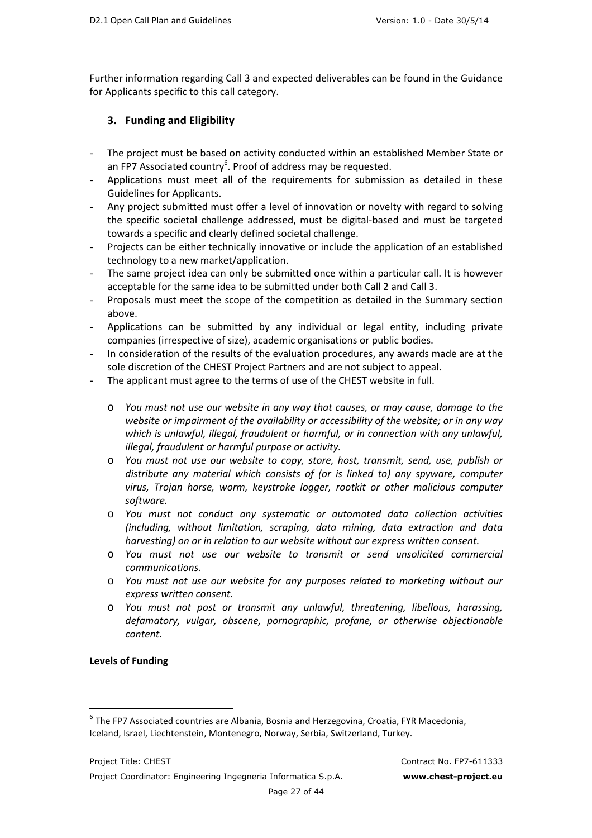Further information regarding Call 3 and expected deliverables can be found in the Guidance for Applicants specific to this call category.

## **3. Funding and Eligibility**

- The project must be based on activity conducted within an established Member State or an FP7 Associated country<sup>6</sup>. Proof of address may be requested.
- Applications must meet all of the requirements for submission as detailed in these Guidelines for Applicants.
- Any project submitted must offer a level of innovation or novelty with regard to solving the specific societal challenge addressed, must be digital-based and must be targeted towards a specific and clearly defined societal challenge.
- Projects can be either technically innovative or include the application of an established technology to a new market/application.
- The same project idea can only be submitted once within a particular call. It is however acceptable for the same idea to be submitted under both Call 2 and Call 3.
- Proposals must meet the scope of the competition as detailed in the Summary section above.
- Applications can be submitted by any individual or legal entity, including private companies (irrespective of size), academic organisations or public bodies.
- In consideration of the results of the evaluation procedures, any awards made are at the sole discretion of the CHEST Project Partners and are not subject to appeal.
- The applicant must agree to the terms of use of the CHEST website in full.
	- o *You must not use our website in any way that causes, or may cause, damage to the website or impairment of the availability or accessibility of the website; or in any way which is unlawful, illegal, fraudulent or harmful, or in connection with any unlawful, illegal, fraudulent or harmful purpose or activity.*
	- o *You must not use our website to copy, store, host, transmit, send, use, publish or distribute any material which consists of (or is linked to) any spyware, computer virus, Trojan horse, worm, keystroke logger, rootkit or other malicious computer software.*
	- o *You must not conduct any systematic or automated data collection activities (including, without limitation, scraping, data mining, data extraction and data harvesting) on or in relation to our website without our express written consent.*
	- o *You must not use our website to transmit or send unsolicited commercial communications.*
	- o *You must not use our website for any purposes related to marketing without our express written consent.*
	- o *You must not post or transmit any unlawful, threatening, libellous, harassing, defamatory, vulgar, obscene, pornographic, profane, or otherwise objectionable content.*

### **Levels of Funding**

l

<sup>&</sup>lt;sup>6</sup> The FP7 Associated countries are Albania, Bosnia and Herzegovina, Croatia, FYR Macedonia, Iceland, Israel, Liechtenstein, Montenegro, Norway, Serbia, Switzerland, Turkey.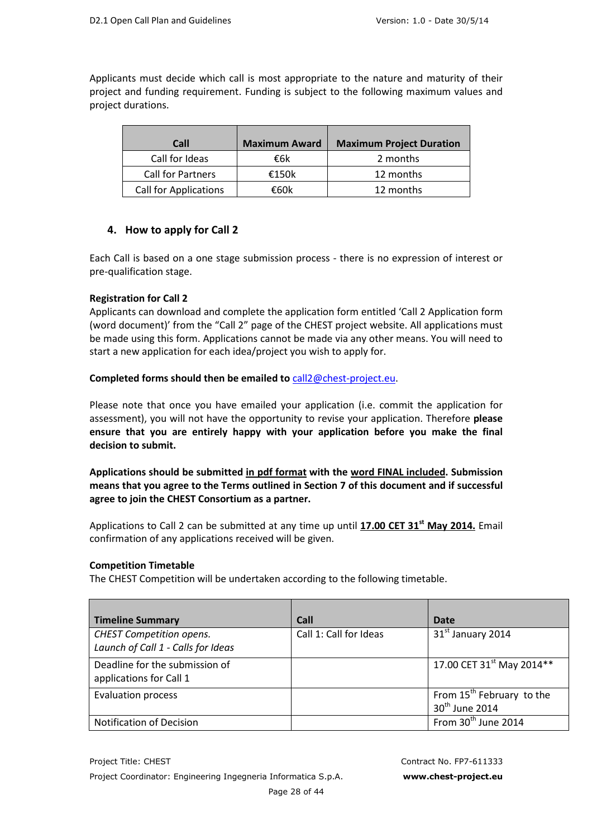Applicants must decide which call is most appropriate to the nature and maturity of their project and funding requirement. Funding is subject to the following maximum values and project durations.

| Call                         | <b>Maximum Award</b> | <b>Maximum Project Duration</b> |
|------------------------------|----------------------|---------------------------------|
| Call for Ideas               | €6k                  | 2 months                        |
| <b>Call for Partners</b>     | €150 $k$             | 12 months                       |
| <b>Call for Applications</b> | €60k                 | 12 months                       |

## **4. How to apply for Call 2**

Each Call is based on a one stage submission process - there is no expression of interest or pre-qualification stage.

### **Registration for Call 2**

Applicants can download and complete the application form entitled 'Call 2 Application form (word document)' from the "Call 2" page of the CHEST project website. All applications must be made using this form. Applications cannot be made via any other means. You will need to start a new application for each idea/project you wish to apply for.

### **Completed forms should then be emailed to** call2@chest-project.eu.

Please note that once you have emailed your application (i.e. commit the application for assessment), you will not have the opportunity to revise your application. Therefore **please ensure that you are entirely happy with your application before you make the final decision to submit.** 

**Applications should be submitted in pdf format with the word FINAL included. Submission means that you agree to the Terms outlined in Section 7 of this document and if successful agree to join the CHEST Consortium as a partner.** 

Applications to Call 2 can be submitted at any time up until **17.00 CET 31st May 2014.** Email confirmation of any applications received will be given.

### **Competition Timetable**

The CHEST Competition will be undertaken according to the following timetable.

| <b>Timeline Summary</b>                                        | Call                   | <b>Date</b>                                                         |
|----------------------------------------------------------------|------------------------|---------------------------------------------------------------------|
| CHEST Competition opens.<br>Launch of Call 1 - Calls for Ideas | Call 1: Call for Ideas | $31st$ January 2014                                                 |
| Deadline for the submission of<br>applications for Call 1      |                        | 17.00 CET 31 <sup>st</sup> May 2014**                               |
| <b>Evaluation process</b>                                      |                        | From 15 <sup>th</sup> February to the<br>30 <sup>th</sup> June 2014 |
| <b>Notification of Decision</b>                                |                        | From $30th$ June 2014                                               |

Project Title: CHEST CONTRACTES CHEST CONTRACTES CONTRACTES CONTRACTES CONTRACTES CONTRACTES CONTRACTES CONTRACTES CONTRACTES CONTRACTES CONTRACTES CONTRACTES CONTRACTES CONTRACTES CONTRACTES CONTRACTES CONTRACTES CONTRACT Project Coordinator: Engineering Ingegneria Informatica S.p.A. **www.chest-project.eu**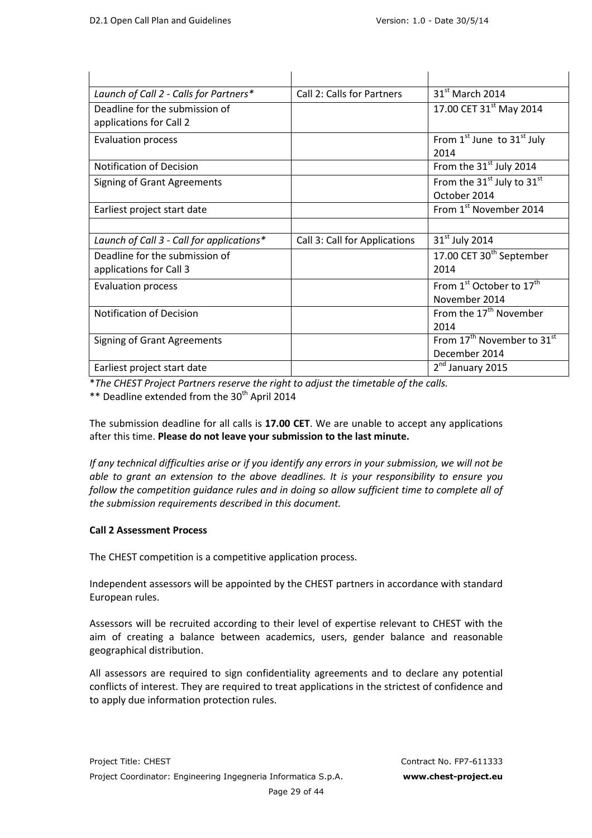| Launch of Call 2 - Calls for Partners*    | Call 2: Calls for Partners    | $31st$ March 2014                                  |
|-------------------------------------------|-------------------------------|----------------------------------------------------|
| Deadline for the submission of            |                               | 17.00 CET 31 <sup>st</sup> May 2014                |
| applications for Call 2                   |                               |                                                    |
| <b>Evaluation process</b>                 |                               | From $1^{st}$ June to $31^{st}$ July               |
|                                           |                               | 2014                                               |
| <b>Notification of Decision</b>           |                               | From the 31 <sup>st</sup> July 2014                |
| <b>Signing of Grant Agreements</b>        |                               | From the $31^{st}$ July to $31^{st}$               |
|                                           |                               | October 2014                                       |
| Earliest project start date               |                               | From 1st November 2014                             |
|                                           |                               |                                                    |
| Launch of Call 3 - Call for applications* | Call 3: Call for Applications | $31st$ July 2014                                   |
| Deadline for the submission of            |                               | 17.00 CET 30 <sup>th</sup> September               |
| applications for Call 3                   |                               | 2014                                               |
| <b>Evaluation process</b>                 |                               | From 1 <sup>st</sup> October to 17 <sup>th</sup>   |
|                                           |                               | November 2014                                      |
| <b>Notification of Decision</b>           |                               | From the 17 <sup>th</sup> November                 |
|                                           |                               | 2014                                               |
| <b>Signing of Grant Agreements</b>        |                               | From 17 <sup>th</sup> November to 31 <sup>st</sup> |
|                                           |                               | December 2014                                      |
| Earliest project start date               |                               | 2 <sup>nd</sup> January 2015                       |

\**The CHEST Project Partners reserve the right to adjust the timetable of the calls.* 

\*\* Deadline extended from the 30<sup>th</sup> April 2014

The submission deadline for all calls is **17.00 CET**. We are unable to accept any applications after this time. **Please do not leave your submission to the last minute.** 

*If any technical difficulties arise or if you identify any errors in your submission, we will not be able to grant an extension to the above deadlines. It is your responsibility to ensure you follow the competition guidance rules and in doing so allow sufficient time to complete all of the submission requirements described in this document.* 

### **Call 2 Assessment Process**

The CHEST competition is a competitive application process.

Independent assessors will be appointed by the CHEST partners in accordance with standard European rules.

Assessors will be recruited according to their level of expertise relevant to CHEST with the aim of creating a balance between academics, users, gender balance and reasonable geographical distribution.

All assessors are required to sign confidentiality agreements and to declare any potential conflicts of interest. They are required to treat applications in the strictest of confidence and to apply due information protection rules.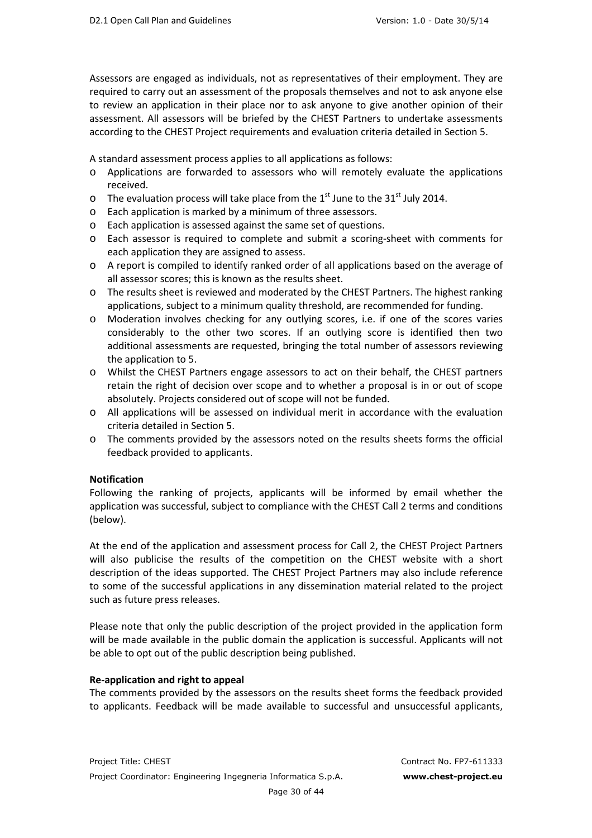Assessors are engaged as individuals, not as representatives of their employment. They are required to carry out an assessment of the proposals themselves and not to ask anyone else to review an application in their place nor to ask anyone to give another opinion of their assessment. All assessors will be briefed by the CHEST Partners to undertake assessments according to the CHEST Project requirements and evaluation criteria detailed in Section 5.

A standard assessment process applies to all applications as follows:

- o Applications are forwarded to assessors who will remotely evaluate the applications received.
- $\circ$  The evaluation process will take place from the 1<sup>st</sup> June to the 31<sup>st</sup> July 2014.
- o Each application is marked by a minimum of three assessors.
- o Each application is assessed against the same set of questions.
- o Each assessor is required to complete and submit a scoring-sheet with comments for each application they are assigned to assess.
- o A report is compiled to identify ranked order of all applications based on the average of all assessor scores; this is known as the results sheet.
- o The results sheet is reviewed and moderated by the CHEST Partners. The highest ranking applications, subject to a minimum quality threshold, are recommended for funding.
- o Moderation involves checking for any outlying scores, i.e. if one of the scores varies considerably to the other two scores. If an outlying score is identified then two additional assessments are requested, bringing the total number of assessors reviewing the application to 5.
- o Whilst the CHEST Partners engage assessors to act on their behalf, the CHEST partners retain the right of decision over scope and to whether a proposal is in or out of scope absolutely. Projects considered out of scope will not be funded.
- o All applications will be assessed on individual merit in accordance with the evaluation criteria detailed in Section 5.
- o The comments provided by the assessors noted on the results sheets forms the official feedback provided to applicants.

### **Notification**

Following the ranking of projects, applicants will be informed by email whether the application was successful, subject to compliance with the CHEST Call 2 terms and conditions (below).

At the end of the application and assessment process for Call 2, the CHEST Project Partners will also publicise the results of the competition on the CHEST website with a short description of the ideas supported. The CHEST Project Partners may also include reference to some of the successful applications in any dissemination material related to the project such as future press releases.

Please note that only the public description of the project provided in the application form will be made available in the public domain the application is successful. Applicants will not be able to opt out of the public description being published.

### **Re-application and right to appeal**

The comments provided by the assessors on the results sheet forms the feedback provided to applicants. Feedback will be made available to successful and unsuccessful applicants,

Page 30 of 44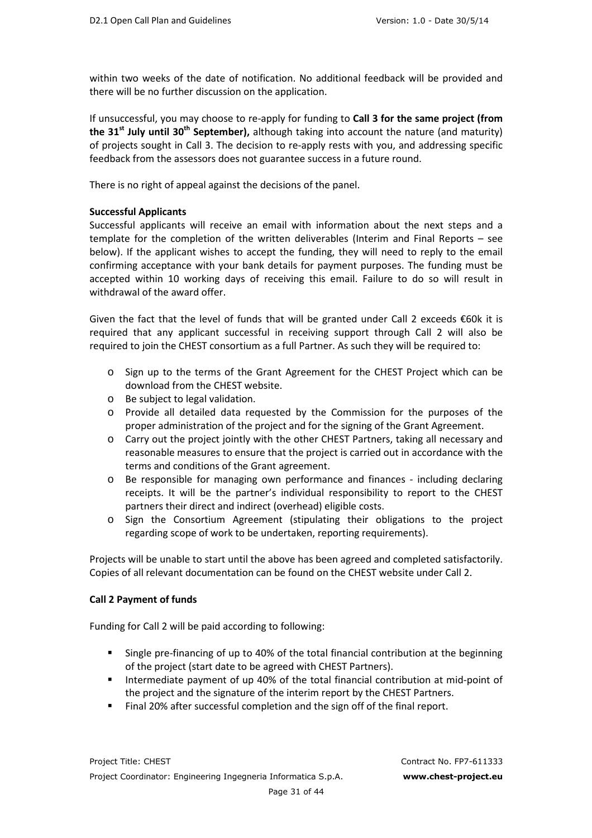within two weeks of the date of notification. No additional feedback will be provided and there will be no further discussion on the application.

If unsuccessful, you may choose to re-apply for funding to **Call 3 for the same project (from the 31st July until 30th September),** although taking into account the nature (and maturity) of projects sought in Call 3. The decision to re-apply rests with you, and addressing specific feedback from the assessors does not guarantee success in a future round.

There is no right of appeal against the decisions of the panel.

### **Successful Applicants**

Successful applicants will receive an email with information about the next steps and a template for the completion of the written deliverables (Interim and Final Reports – see below). If the applicant wishes to accept the funding, they will need to reply to the email confirming acceptance with your bank details for payment purposes. The funding must be accepted within 10 working days of receiving this email. Failure to do so will result in withdrawal of the award offer

Given the fact that the level of funds that will be granted under Call 2 exceeds  $\epsilon$ 60k it is required that any applicant successful in receiving support through Call 2 will also be required to join the CHEST consortium as a full Partner. As such they will be required to:

- o Sign up to the terms of the Grant Agreement for the CHEST Project which can be download from the CHEST website.
- o Be subject to legal validation.
- o Provide all detailed data requested by the Commission for the purposes of the proper administration of the project and for the signing of the Grant Agreement.
- o Carry out the project jointly with the other CHEST Partners, taking all necessary and reasonable measures to ensure that the project is carried out in accordance with the terms and conditions of the Grant agreement.
- o Be responsible for managing own performance and finances including declaring receipts. It will be the partner's individual responsibility to report to the CHEST partners their direct and indirect (overhead) eligible costs.
- o Sign the Consortium Agreement (stipulating their obligations to the project regarding scope of work to be undertaken, reporting requirements).

Projects will be unable to start until the above has been agreed and completed satisfactorily. Copies of all relevant documentation can be found on the CHEST website under Call 2.

### **Call 2 Payment of funds**

Funding for Call 2 will be paid according to following:

- Single pre-financing of up to 40% of the total financial contribution at the beginning of the project (start date to be agreed with CHEST Partners).
- Intermediate payment of up 40% of the total financial contribution at mid-point of the project and the signature of the interim report by the CHEST Partners.

Page 31 of 44

Final 20% after successful completion and the sign off of the final report.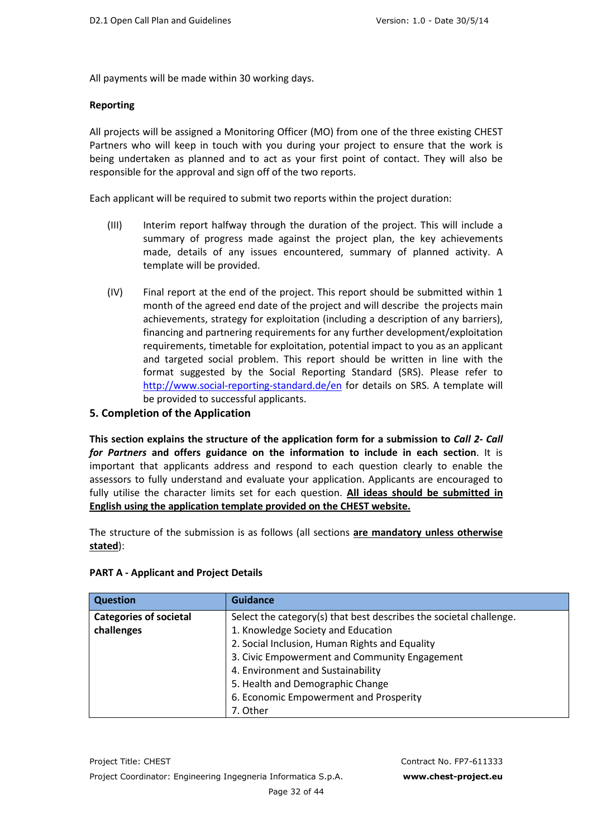All payments will be made within 30 working days.

#### **Reporting**

All projects will be assigned a Monitoring Officer (MO) from one of the three existing CHEST Partners who will keep in touch with you during your project to ensure that the work is being undertaken as planned and to act as your first point of contact. They will also be responsible for the approval and sign off of the two reports.

Each applicant will be required to submit two reports within the project duration:

- (III) Interim report halfway through the duration of the project. This will include a summary of progress made against the project plan, the key achievements made, details of any issues encountered, summary of planned activity. A template will be provided.
- (IV) Final report at the end of the project. This report should be submitted within 1 month of the agreed end date of the project and will describe the projects main achievements, strategy for exploitation (including a description of any barriers), financing and partnering requirements for any further development/exploitation requirements, timetable for exploitation, potential impact to you as an applicant and targeted social problem. This report should be written in line with the format suggested by the Social Reporting Standard (SRS). Please refer to http://www.social-reporting-standard.de/en for details on SRS. A template will be provided to successful applicants.

#### **5. Completion of the Application**

**This section explains the structure of the application form for a submission to** *Call 2- Call for Partners* **and offers guidance on the information to include in each section**. It is important that applicants address and respond to each question clearly to enable the assessors to fully understand and evaluate your application. Applicants are encouraged to fully utilise the character limits set for each question. **All ideas should be submitted in English using the application template provided on the CHEST website.**

The structure of the submission is as follows (all sections **are mandatory unless otherwise stated**):

#### **PART A - Applicant and Project Details**

| <b>Question</b>               | <b>Guidance</b>                                                    |
|-------------------------------|--------------------------------------------------------------------|
| <b>Categories of societal</b> | Select the category(s) that best describes the societal challenge. |
| challenges                    | 1. Knowledge Society and Education                                 |
|                               | 2. Social Inclusion, Human Rights and Equality                     |
|                               | 3. Civic Empowerment and Community Engagement                      |
|                               | 4. Environment and Sustainability                                  |
|                               | 5. Health and Demographic Change                                   |
|                               | 6. Economic Empowerment and Prosperity                             |
|                               | 7. Other                                                           |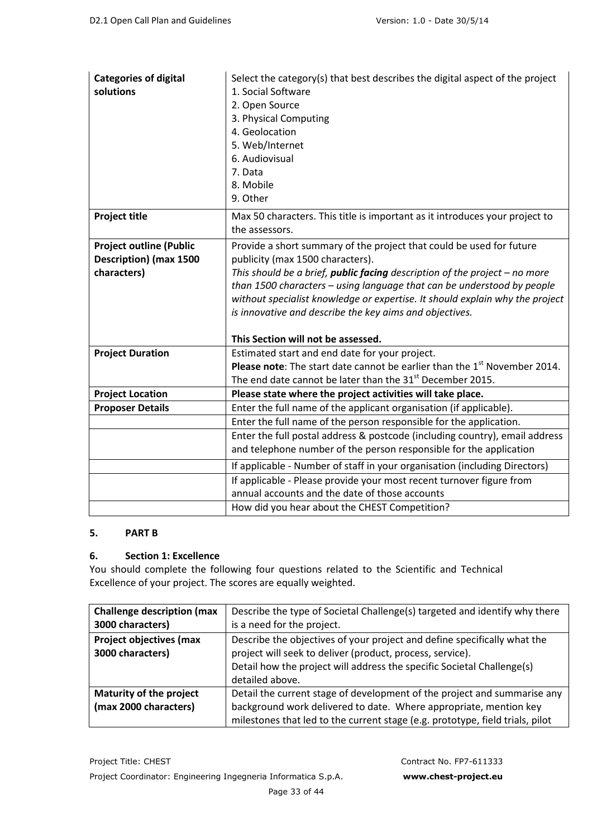| <b>Categories of digital</b><br>solutions                                      | Select the category(s) that best describes the digital aspect of the project<br>1. Social Software<br>2. Open Source<br>3. Physical Computing<br>4. Geolocation<br>5. Web/Internet<br>6. Audiovisual<br>7. Data<br>8. Mobile<br>9. Other                                                                                                                                                                                                                     |
|--------------------------------------------------------------------------------|--------------------------------------------------------------------------------------------------------------------------------------------------------------------------------------------------------------------------------------------------------------------------------------------------------------------------------------------------------------------------------------------------------------------------------------------------------------|
| <b>Project title</b>                                                           | Max 50 characters. This title is important as it introduces your project to<br>the assessors.                                                                                                                                                                                                                                                                                                                                                                |
| <b>Project outline (Public</b><br><b>Description) (max 1500</b><br>characters) | Provide a short summary of the project that could be used for future<br>publicity (max 1500 characters).<br>This should be a brief, <i>public facing</i> description of the project $-$ no more<br>than 1500 characters $-$ using language that can be understood by people<br>without specialist knowledge or expertise. It should explain why the project<br>is innovative and describe the key aims and objectives.<br>This Section will not be assessed. |
| <b>Project Duration</b>                                                        | Estimated start and end date for your project.<br><b>Please note:</b> The start date cannot be earlier than the $1st$ November 2014.<br>The end date cannot be later than the 31 <sup>st</sup> December 2015.                                                                                                                                                                                                                                                |
| <b>Project Location</b>                                                        | Please state where the project activities will take place.                                                                                                                                                                                                                                                                                                                                                                                                   |
| <b>Proposer Details</b>                                                        | Enter the full name of the applicant organisation (if applicable).                                                                                                                                                                                                                                                                                                                                                                                           |
|                                                                                | Enter the full name of the person responsible for the application.                                                                                                                                                                                                                                                                                                                                                                                           |
|                                                                                | Enter the full postal address & postcode (including country), email address<br>and telephone number of the person responsible for the application                                                                                                                                                                                                                                                                                                            |
|                                                                                | If applicable - Number of staff in your organisation (including Directors)                                                                                                                                                                                                                                                                                                                                                                                   |
|                                                                                | If applicable - Please provide your most recent turnover figure from                                                                                                                                                                                                                                                                                                                                                                                         |
|                                                                                | annual accounts and the date of those accounts                                                                                                                                                                                                                                                                                                                                                                                                               |
|                                                                                | How did you hear about the CHEST Competition?                                                                                                                                                                                                                                                                                                                                                                                                                |

### **5. PART B**

### **6. Section 1: Excellence**

You should complete the following four questions related to the Scientific and Technical Excellence of your project. The scores are equally weighted.

| <b>Challenge description (max</b> | Describe the type of Societal Challenge(s) targeted and identify why there    |
|-----------------------------------|-------------------------------------------------------------------------------|
| 3000 characters)                  | is a need for the project.                                                    |
| <b>Project objectives (max</b>    | Describe the objectives of your project and define specifically what the      |
| 3000 characters)                  | project will seek to deliver (product, process, service).                     |
|                                   | Detail how the project will address the specific Societal Challenge(s)        |
|                                   | detailed above.                                                               |
| Maturity of the project           | Detail the current stage of development of the project and summarise any      |
| (max 2000 characters)             | background work delivered to date. Where appropriate, mention key             |
|                                   | milestones that led to the current stage (e.g. prototype, field trials, pilot |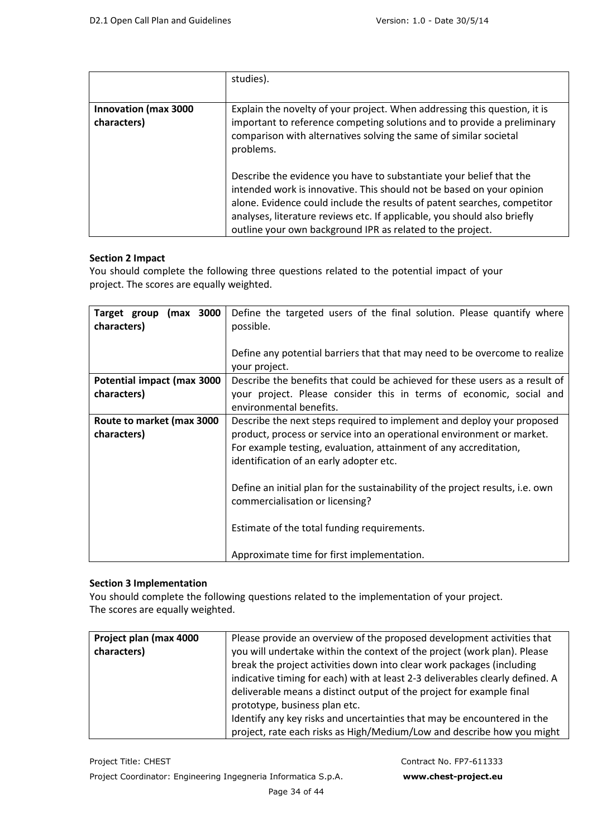|                                            | studies).                                                                                                                                                                                                                                                                                                                                                          |
|--------------------------------------------|--------------------------------------------------------------------------------------------------------------------------------------------------------------------------------------------------------------------------------------------------------------------------------------------------------------------------------------------------------------------|
| <b>Innovation (max 3000</b><br>characters) | Explain the novelty of your project. When addressing this question, it is<br>important to reference competing solutions and to provide a preliminary<br>comparison with alternatives solving the same of similar societal<br>problems.                                                                                                                             |
|                                            | Describe the evidence you have to substantiate your belief that the<br>intended work is innovative. This should not be based on your opinion<br>alone. Evidence could include the results of patent searches, competitor<br>analyses, literature reviews etc. If applicable, you should also briefly<br>outline your own background IPR as related to the project. |

### **Section 2 Impact**

You should complete the following three questions related to the potential impact of your project. The scores are equally weighted.

| Target group (max 3000<br>characters) | Define the targeted users of the final solution. Please quantify where<br>possible. |
|---------------------------------------|-------------------------------------------------------------------------------------|
|                                       | Define any potential barriers that that may need to be overcome to realize          |
|                                       | your project.                                                                       |
| Potential impact (max 3000            | Describe the benefits that could be achieved for these users as a result of         |
| characters)                           | your project. Please consider this in terms of economic, social and                 |
|                                       | environmental benefits.                                                             |
| Route to market (max 3000             | Describe the next steps required to implement and deploy your proposed              |
| characters)                           | product, process or service into an operational environment or market.              |
|                                       | For example testing, evaluation, attainment of any accreditation,                   |
|                                       | identification of an early adopter etc.                                             |
|                                       |                                                                                     |
|                                       | Define an initial plan for the sustainability of the project results, i.e. own      |
|                                       | commercialisation or licensing?                                                     |
|                                       |                                                                                     |
|                                       | Estimate of the total funding requirements.                                         |
|                                       |                                                                                     |
|                                       | Approximate time for first implementation.                                          |

## **Section 3 Implementation**

You should complete the following questions related to the implementation of your project. The scores are equally weighted.

| Project plan (max 4000 | Please provide an overview of the proposed development activities that        |
|------------------------|-------------------------------------------------------------------------------|
| characters)            | you will undertake within the context of the project (work plan). Please      |
|                        | break the project activities down into clear work packages (including         |
|                        | indicative timing for each) with at least 2-3 deliverables clearly defined. A |
|                        | deliverable means a distinct output of the project for example final          |
|                        | prototype, business plan etc.                                                 |
|                        | Identify any key risks and uncertainties that may be encountered in the       |
|                        | project, rate each risks as High/Medium/Low and describe how you might        |

Project Title: CHEST CONTRACTES Project Coordinator: Engineering Ingegneria Informatica S.p.A. **www.chest-project.eu**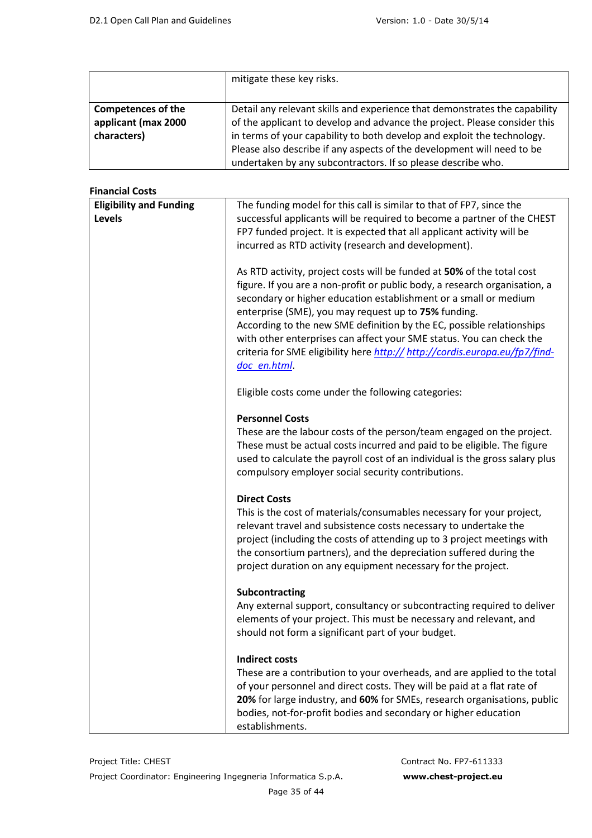|                                                                 | mitigate these key risks.                                                                                                                                                                                                                                                                                                                                                    |
|-----------------------------------------------------------------|------------------------------------------------------------------------------------------------------------------------------------------------------------------------------------------------------------------------------------------------------------------------------------------------------------------------------------------------------------------------------|
| <b>Competences of the</b><br>applicant (max 2000<br>characters) | Detail any relevant skills and experience that demonstrates the capability<br>of the applicant to develop and advance the project. Please consider this<br>in terms of your capability to both develop and exploit the technology.<br>Please also describe if any aspects of the development will need to be<br>undertaken by any subcontractors. If so please describe who. |

## **Financial Costs**

| <b>Eligibility and Funding</b><br><b>Levels</b> | The funding model for this call is similar to that of FP7, since the<br>successful applicants will be required to become a partner of the CHEST<br>FP7 funded project. It is expected that all applicant activity will be<br>incurred as RTD activity (research and development).                                                                                                                                                                                                                                                |
|-------------------------------------------------|----------------------------------------------------------------------------------------------------------------------------------------------------------------------------------------------------------------------------------------------------------------------------------------------------------------------------------------------------------------------------------------------------------------------------------------------------------------------------------------------------------------------------------|
|                                                 | As RTD activity, project costs will be funded at 50% of the total cost<br>figure. If you are a non-profit or public body, a research organisation, a<br>secondary or higher education establishment or a small or medium<br>enterprise (SME), you may request up to 75% funding.<br>According to the new SME definition by the EC, possible relationships<br>with other enterprises can affect your SME status. You can check the<br>criteria for SME eligibility here http:// http://cordis.europa.eu/fp7/find-<br>doc en.html. |
|                                                 | Eligible costs come under the following categories:                                                                                                                                                                                                                                                                                                                                                                                                                                                                              |
|                                                 | <b>Personnel Costs</b><br>These are the labour costs of the person/team engaged on the project.<br>These must be actual costs incurred and paid to be eligible. The figure<br>used to calculate the payroll cost of an individual is the gross salary plus<br>compulsory employer social security contributions.                                                                                                                                                                                                                 |
|                                                 | <b>Direct Costs</b><br>This is the cost of materials/consumables necessary for your project,<br>relevant travel and subsistence costs necessary to undertake the<br>project (including the costs of attending up to 3 project meetings with<br>the consortium partners), and the depreciation suffered during the<br>project duration on any equipment necessary for the project.                                                                                                                                                |
|                                                 | Subcontracting<br>Any external support, consultancy or subcontracting required to deliver<br>elements of your project. This must be necessary and relevant, and<br>should not form a significant part of your budget.                                                                                                                                                                                                                                                                                                            |
|                                                 | <b>Indirect costs</b><br>These are a contribution to your overheads, and are applied to the total<br>of your personnel and direct costs. They will be paid at a flat rate of<br>20% for large industry, and 60% for SMEs, research organisations, public<br>bodies, not-for-profit bodies and secondary or higher education<br>establishments.                                                                                                                                                                                   |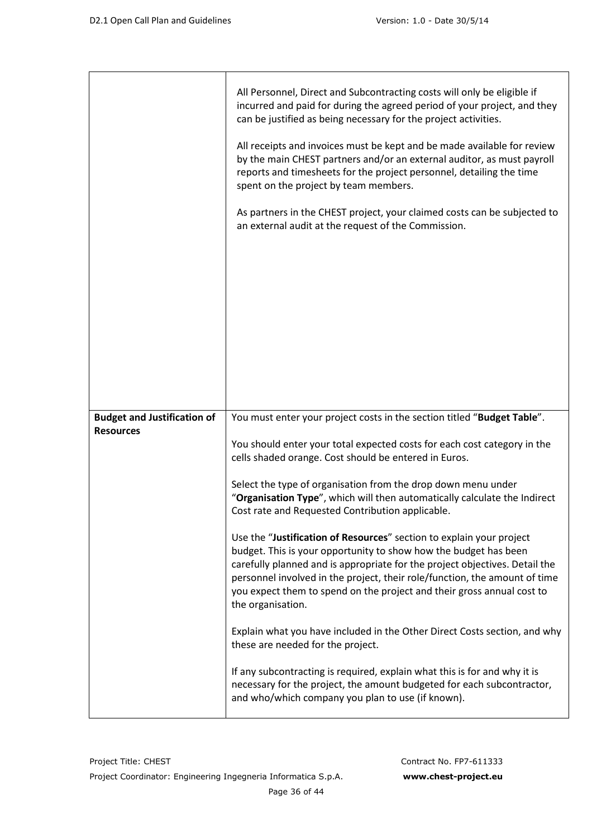|                                    | All Personnel, Direct and Subcontracting costs will only be eligible if<br>incurred and paid for during the agreed period of your project, and they<br>can be justified as being necessary for the project activities.<br>All receipts and invoices must be kept and be made available for review<br>by the main CHEST partners and/or an external auditor, as must payroll<br>reports and timesheets for the project personnel, detailing the time<br>spent on the project by team members.<br>As partners in the CHEST project, your claimed costs can be subjected to<br>an external audit at the request of the Commission.              |
|------------------------------------|----------------------------------------------------------------------------------------------------------------------------------------------------------------------------------------------------------------------------------------------------------------------------------------------------------------------------------------------------------------------------------------------------------------------------------------------------------------------------------------------------------------------------------------------------------------------------------------------------------------------------------------------|
| <b>Budget and Justification of</b> | You must enter your project costs in the section titled "Budget Table".                                                                                                                                                                                                                                                                                                                                                                                                                                                                                                                                                                      |
| <b>Resources</b>                   | You should enter your total expected costs for each cost category in the<br>cells shaded orange. Cost should be entered in Euros.<br>Select the type of organisation from the drop down menu under<br>"Organisation Type", which will then automatically calculate the Indirect<br>Cost rate and Requested Contribution applicable.<br>Use the "Justification of Resources" section to explain your project<br>budget. This is your opportunity to show how the budget has been<br>carefully planned and is appropriate for the project objectives. Detail the<br>personnel involved in the project, their role/function, the amount of time |
|                                    | you expect them to spend on the project and their gross annual cost to<br>the organisation.<br>Explain what you have included in the Other Direct Costs section, and why<br>these are needed for the project.<br>If any subcontracting is required, explain what this is for and why it is<br>necessary for the project, the amount budgeted for each subcontractor,<br>and who/which company you plan to use (if known).                                                                                                                                                                                                                    |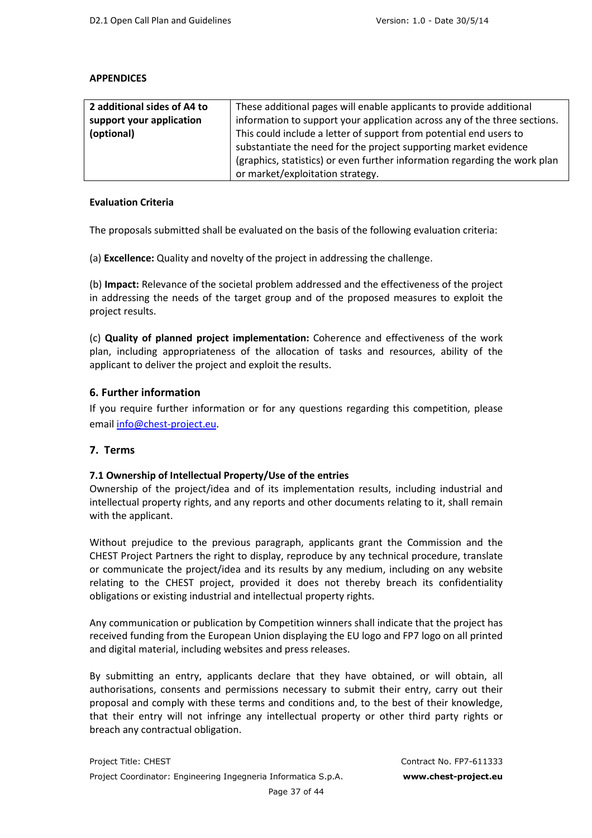### **APPENDICES**

| 2 additional sides of A4 to | These additional pages will enable applicants to provide additional        |
|-----------------------------|----------------------------------------------------------------------------|
| support your application    | information to support your application across any of the three sections.  |
| (optional)                  | This could include a letter of support from potential end users to         |
|                             | substantiate the need for the project supporting market evidence           |
|                             | (graphics, statistics) or even further information regarding the work plan |
|                             | or market/exploitation strategy.                                           |

### **Evaluation Criteria**

The proposals submitted shall be evaluated on the basis of the following evaluation criteria:

(a) **Excellence:** Quality and novelty of the project in addressing the challenge.

(b) **Impact:** Relevance of the societal problem addressed and the effectiveness of the project in addressing the needs of the target group and of the proposed measures to exploit the project results.

(c) **Quality of planned project implementation:** Coherence and effectiveness of the work plan, including appropriateness of the allocation of tasks and resources, ability of the applicant to deliver the project and exploit the results.

### **6. Further information**

If you require further information or for any questions regarding this competition, please email info@chest-project.eu.

### **7. Terms**

### **7.1 Ownership of Intellectual Property/Use of the entries**

Ownership of the project/idea and of its implementation results, including industrial and intellectual property rights, and any reports and other documents relating to it, shall remain with the applicant.

Without prejudice to the previous paragraph, applicants grant the Commission and the CHEST Project Partners the right to display, reproduce by any technical procedure, translate or communicate the project/idea and its results by any medium, including on any website relating to the CHEST project, provided it does not thereby breach its confidentiality obligations or existing industrial and intellectual property rights.

Any communication or publication by Competition winners shall indicate that the project has received funding from the European Union displaying the EU logo and FP7 logo on all printed and digital material, including websites and press releases.

By submitting an entry, applicants declare that they have obtained, or will obtain, all authorisations, consents and permissions necessary to submit their entry, carry out their proposal and comply with these terms and conditions and, to the best of their knowledge, that their entry will not infringe any intellectual property or other third party rights or breach any contractual obligation.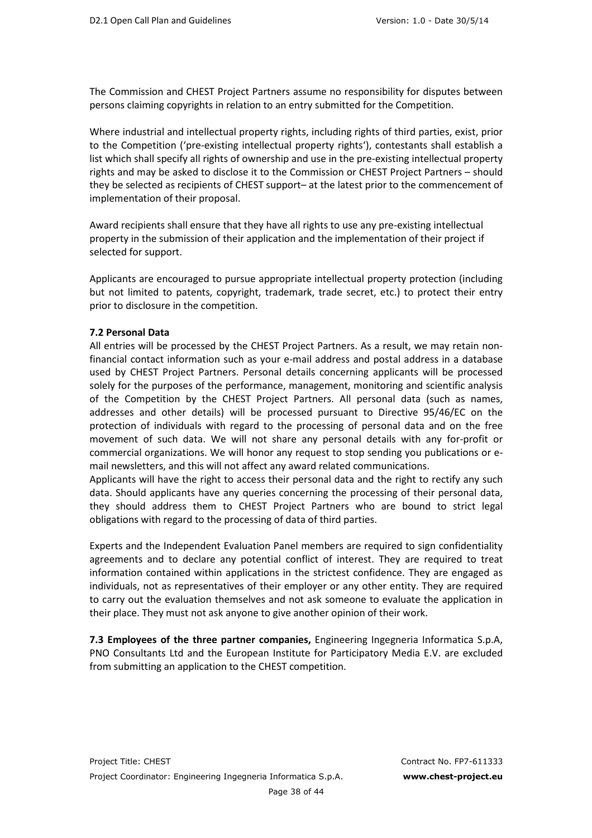The Commission and CHEST Project Partners assume no responsibility for disputes between persons claiming copyrights in relation to an entry submitted for the Competition.

Where industrial and intellectual property rights, including rights of third parties, exist, prior to the Competition ('pre-existing intellectual property rights'), contestants shall establish a list which shall specify all rights of ownership and use in the pre-existing intellectual property rights and may be asked to disclose it to the Commission or CHEST Project Partners – should they be selected as recipients of CHEST support– at the latest prior to the commencement of implementation of their proposal.

Award recipients shall ensure that they have all rights to use any pre-existing intellectual property in the submission of their application and the implementation of their project if selected for support.

Applicants are encouraged to pursue appropriate intellectual property protection (including but not limited to patents, copyright, trademark, trade secret, etc.) to protect their entry prior to disclosure in the competition.

### **7.2 Personal Data**

All entries will be processed by the CHEST Project Partners. As a result, we may retain nonfinancial contact information such as your e-mail address and postal address in a database used by CHEST Project Partners. Personal details concerning applicants will be processed solely for the purposes of the performance, management, monitoring and scientific analysis of the Competition by the CHEST Project Partners. All personal data (such as names, addresses and other details) will be processed pursuant to Directive 95/46/EC on the protection of individuals with regard to the processing of personal data and on the free movement of such data. We will not share any personal details with any for-profit or commercial organizations. We will honor any request to stop sending you publications or email newsletters, and this will not affect any award related communications.

Applicants will have the right to access their personal data and the right to rectify any such data. Should applicants have any queries concerning the processing of their personal data, they should address them to CHEST Project Partners who are bound to strict legal obligations with regard to the processing of data of third parties.

Experts and the Independent Evaluation Panel members are required to sign confidentiality agreements and to declare any potential conflict of interest. They are required to treat information contained within applications in the strictest confidence. They are engaged as individuals, not as representatives of their employer or any other entity. They are required to carry out the evaluation themselves and not ask someone to evaluate the application in their place. They must not ask anyone to give another opinion of their work.

**7.3 Employees of the three partner companies,** Engineering Ingegneria Informatica S.p.A, PNO Consultants Ltd and the European Institute for Participatory Media E.V. are excluded from submitting an application to the CHEST competition.

Page 38 of 44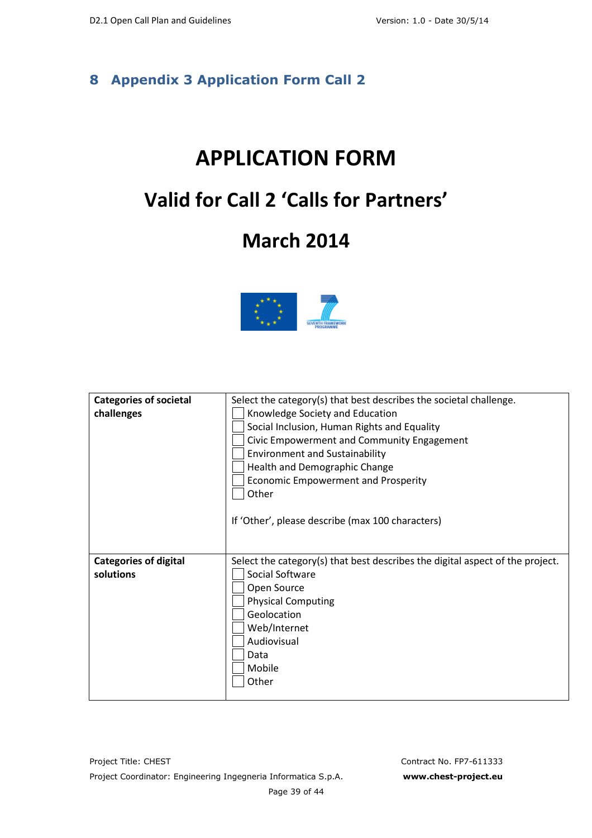# **8 Appendix 3 Application Form Call 2**

# **APPLICATION FORM**

# **Valid for Call 2 'Calls for Partners'**

# **March 2014**



| <b>Categories of societal</b><br>challenges | Select the category(s) that best describes the societal challenge.<br>Knowledge Society and Education<br>Social Inclusion, Human Rights and Equality<br>Civic Empowerment and Community Engagement<br><b>Environment and Sustainability</b><br>Health and Demographic Change<br><b>Economic Empowerment and Prosperity</b><br>Other |
|---------------------------------------------|-------------------------------------------------------------------------------------------------------------------------------------------------------------------------------------------------------------------------------------------------------------------------------------------------------------------------------------|
|                                             | If 'Other', please describe (max 100 characters)                                                                                                                                                                                                                                                                                    |
| <b>Categories of digital</b><br>solutions   | Select the category(s) that best describes the digital aspect of the project.<br>Social Software<br>Open Source<br><b>Physical Computing</b><br>Geolocation<br>Web/Internet<br>Audiovisual<br>Data<br>Mobile<br>Other                                                                                                               |

Page 39 of 44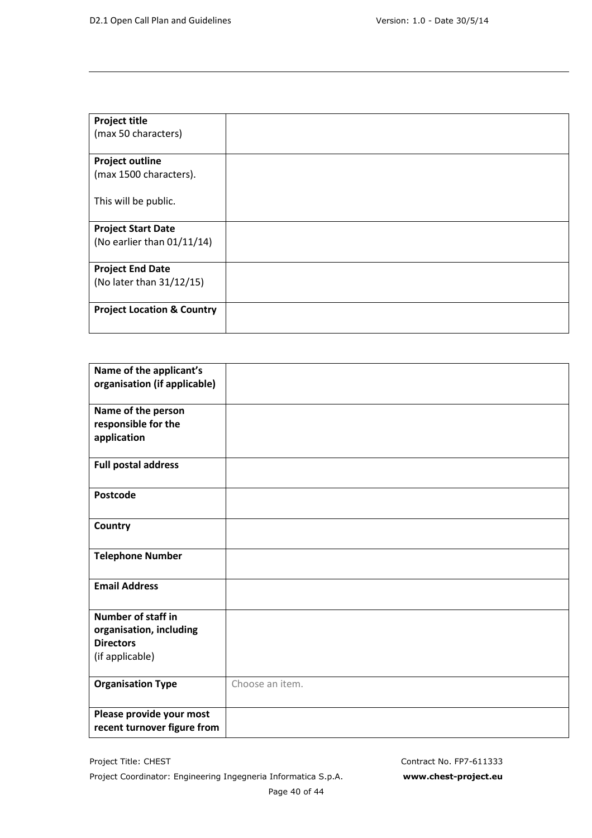| <b>Project title</b>                  |  |
|---------------------------------------|--|
| (max 50 characters)                   |  |
|                                       |  |
| <b>Project outline</b>                |  |
| (max 1500 characters).                |  |
|                                       |  |
| This will be public.                  |  |
|                                       |  |
| <b>Project Start Date</b>             |  |
| (No earlier than 01/11/14)            |  |
|                                       |  |
| <b>Project End Date</b>               |  |
| (No later than 31/12/15)              |  |
|                                       |  |
| <b>Project Location &amp; Country</b> |  |
|                                       |  |
|                                       |  |

| Name of the applicant's<br>organisation (if applicable)                                     |                 |
|---------------------------------------------------------------------------------------------|-----------------|
| Name of the person<br>responsible for the<br>application                                    |                 |
| <b>Full postal address</b>                                                                  |                 |
| <b>Postcode</b>                                                                             |                 |
| Country                                                                                     |                 |
| <b>Telephone Number</b>                                                                     |                 |
| <b>Email Address</b>                                                                        |                 |
| <b>Number of staff in</b><br>organisation, including<br><b>Directors</b><br>(if applicable) |                 |
| <b>Organisation Type</b>                                                                    | Choose an item. |
| Please provide your most<br>recent turnover figure from                                     |                 |

Project Title: CHEST CONTRACTES Project Coordinator: Engineering Ingegneria Informatica S.p.A. **www.chest-project.eu**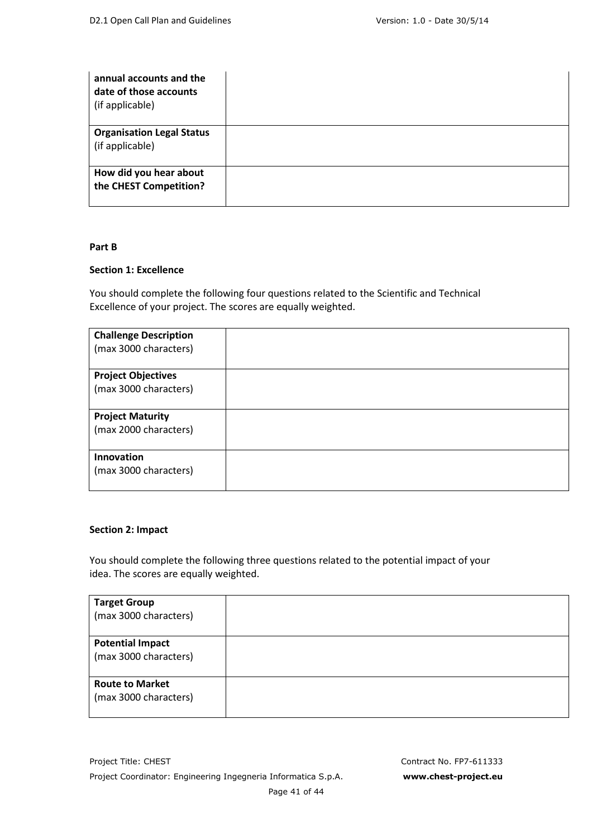| annual accounts and the<br>date of those accounts<br>(if applicable) |  |
|----------------------------------------------------------------------|--|
| <b>Organisation Legal Status</b><br>(if applicable)                  |  |
| How did you hear about<br>the CHEST Competition?                     |  |

### **Part B**

#### **Section 1: Excellence**

You should complete the following four questions related to the Scientific and Technical Excellence of your project. The scores are equally weighted.

| <b>Challenge Description</b><br>(max 3000 characters) |  |
|-------------------------------------------------------|--|
| <b>Project Objectives</b><br>(max 3000 characters)    |  |
| <b>Project Maturity</b><br>(max 2000 characters)      |  |
| Innovation<br>(max 3000 characters)                   |  |

### **Section 2: Impact**

You should complete the following three questions related to the potential impact of your idea. The scores are equally weighted.

| <b>Target Group</b><br>(max 3000 characters)     |  |
|--------------------------------------------------|--|
| <b>Potential Impact</b><br>(max 3000 characters) |  |
| <b>Route to Market</b><br>(max 3000 characters)  |  |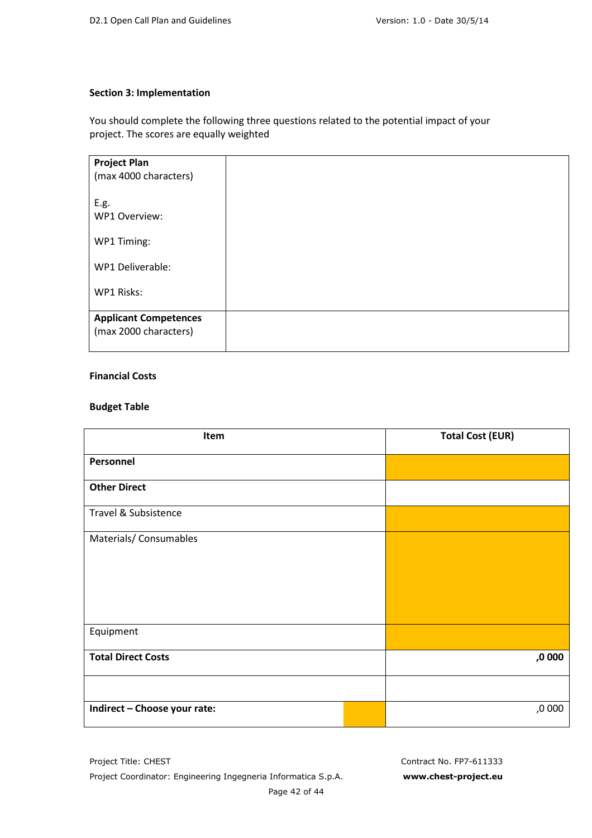### **Section 3: Implementation**

You should complete the following three questions related to the potential impact of your project. The scores are equally weighted

| <b>Project Plan</b><br>(max 4000 characters)          |  |
|-------------------------------------------------------|--|
| E.g.<br>WP1 Overview:                                 |  |
| WP1 Timing:                                           |  |
| WP1 Deliverable:                                      |  |
| WP1 Risks:                                            |  |
| <b>Applicant Competences</b><br>(max 2000 characters) |  |

### **Financial Costs**

## **Budget Table**

| Item                         |  | <b>Total Cost (EUR)</b> |
|------------------------------|--|-------------------------|
| Personnel                    |  |                         |
| <b>Other Direct</b>          |  |                         |
| Travel & Subsistence         |  |                         |
| Materials/Consumables        |  |                         |
|                              |  |                         |
|                              |  |                         |
|                              |  |                         |
| Equipment                    |  |                         |
| <b>Total Direct Costs</b>    |  | ,0 000                  |
|                              |  |                         |
| Indirect - Choose your rate: |  | ,0 0 0 0                |

Project Title: CHEST CONTRACTE: CHEST CONTRACTE: CONTRACTE: CHEST CONTRACTE: CONTRACTE: CHEST Project Coordinator: Engineering Ingegneria Informatica S.p.A. **www.chest-project.eu**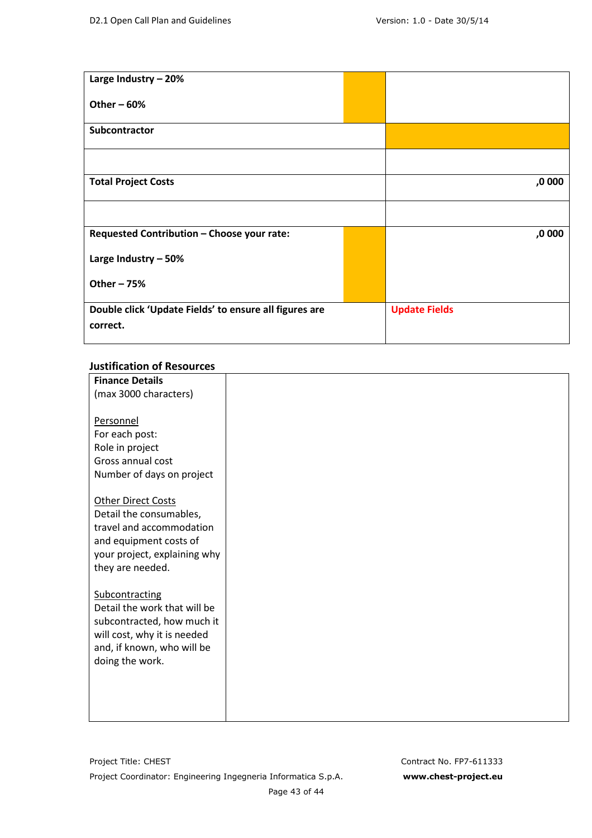| Large Industry $-20%$                                              |  |                      |        |
|--------------------------------------------------------------------|--|----------------------|--------|
| Other $-60%$                                                       |  |                      |        |
| Subcontractor                                                      |  |                      |        |
|                                                                    |  |                      |        |
| <b>Total Project Costs</b>                                         |  |                      | ,0 000 |
|                                                                    |  |                      |        |
| Requested Contribution - Choose your rate:                         |  |                      | ,0 000 |
| Large Industry $-50%$                                              |  |                      |        |
| Other $-75%$                                                       |  |                      |        |
| Double click 'Update Fields' to ensure all figures are<br>correct. |  | <b>Update Fields</b> |        |

### **Justification of Resources**

| <b>Finance Details</b>       |  |
|------------------------------|--|
| (max 3000 characters)        |  |
|                              |  |
| Personnel                    |  |
| For each post:               |  |
| Role in project              |  |
| Gross annual cost            |  |
| Number of days on project    |  |
|                              |  |
| <b>Other Direct Costs</b>    |  |
| Detail the consumables,      |  |
| travel and accommodation     |  |
| and equipment costs of       |  |
| your project, explaining why |  |
| they are needed.             |  |
|                              |  |
| Subcontracting               |  |
| Detail the work that will be |  |
| subcontracted, how much it   |  |
| will cost, why it is needed  |  |
| and, if known, who will be   |  |
| doing the work.              |  |
|                              |  |
|                              |  |
|                              |  |
|                              |  |